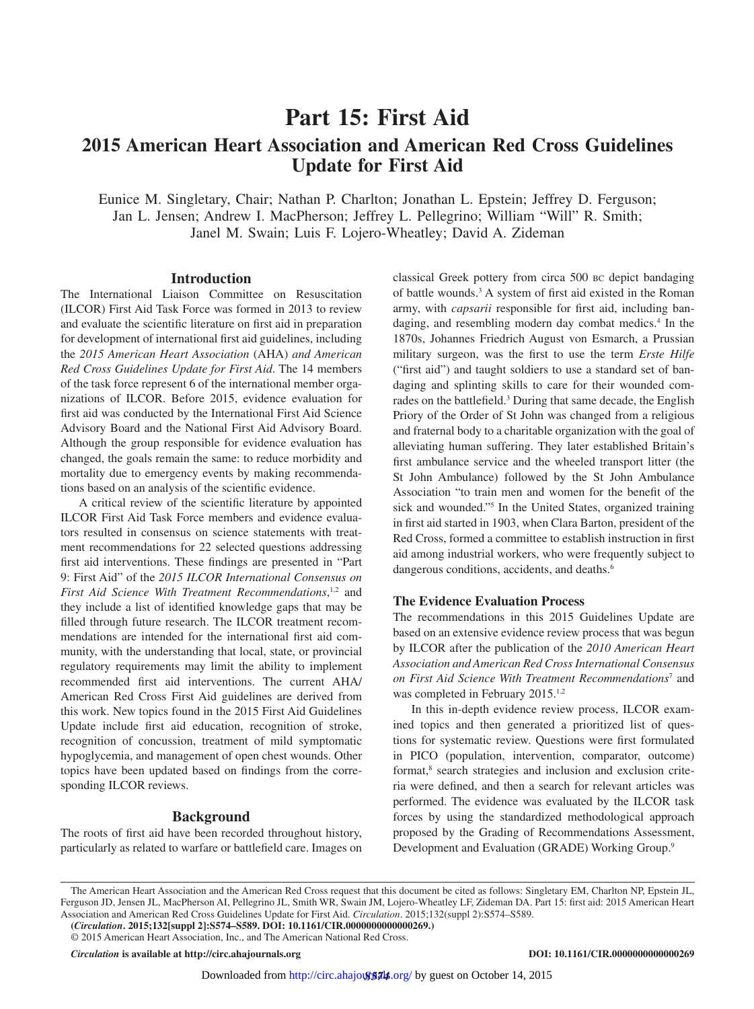# **Part 15: First Aid**

## **2015 American Heart Association and American Red Cross Guidelines Update for First Aid**

Eunice M. Singletary, Chair; Nathan P. Charlton; Jonathan L. Epstein; Jeffrey D. Ferguson; Jan L. Jensen; Andrew I. MacPherson; Jeffrey L. Pellegrino; William "Will" R. Smith; Janel M. Swain; Luis F. Lojero-Wheatley; David A. Zideman

#### **Introduction**

The International Liaison Committee on Resuscitation (ILCOR) First Aid Task Force was formed in 2013 to review and evaluate the scientific literature on first aid in preparation for development of international first aid guidelines, including the *2015 American Heart Association* (AHA) *and American Red Cross Guidelines Update for First Aid*. The 14 members of the task force represent 6 of the international member organizations of ILCOR. Before 2015, evidence evaluation for first aid was conducted by the International First Aid Science Advisory Board and the National First Aid Advisory Board. Although the group responsible for evidence evaluation has changed, the goals remain the same: to reduce morbidity and mortality due to emergency events by making recommendations based on an analysis of the scientific evidence.

A critical review of the scientific literature by appointed ILCOR First Aid Task Force members and evidence evaluators resulted in consensus on science statements with treatment recommendations for 22 selected questions addressing first aid interventions. These findings are presented in "Part 9: First Aid" of the *2015 ILCOR International Consensus on*  First Aid Science With Treatment Recommendations,<sup>1,2</sup> and they include a list of identified knowledge gaps that may be filled through future research. The ILCOR treatment recommendations are intended for the international first aid community, with the understanding that local, state, or provincial regulatory requirements may limit the ability to implement recommended first aid interventions. The current AHA/ American Red Cross First Aid guidelines are derived from this work. New topics found in the 2015 First Aid Guidelines Update include first aid education, recognition of stroke, recognition of concussion, treatment of mild symptomatic hypoglycemia, and management of open chest wounds. Other topics have been updated based on findings from the corresponding ILCOR reviews.

#### **Background**

The roots of first aid have been recorded throughout history, particularly as related to warfare or battlefield care. Images on classical Greek pottery from circa 500 bc depict bandaging of battle wounds.3 A system of first aid existed in the Roman army, with *capsarii* responsible for first aid, including bandaging, and resembling modern day combat medics.<sup>4</sup> In the 1870s, Johannes Friedrich August von Esmarch, a Prussian military surgeon, was the first to use the term *Erste Hilfe* ("first aid") and taught soldiers to use a standard set of bandaging and splinting skills to care for their wounded comrades on the battlefield.<sup>3</sup> During that same decade, the English Priory of the Order of St John was changed from a religious and fraternal body to a charitable organization with the goal of alleviating human suffering. They later established Britain's first ambulance service and the wheeled transport litter (the St John Ambulance) followed by the St John Ambulance Association "to train men and women for the benefit of the sick and wounded."5 In the United States, organized training in first aid started in 1903, when Clara Barton, president of the Red Cross, formed a committee to establish instruction in first aid among industrial workers, who were frequently subject to dangerous conditions, accidents, and deaths.<sup>6</sup>

#### **The Evidence Evaluation Process**

The recommendations in this 2015 Guidelines Update are based on an extensive evidence review process that was begun by ILCOR after the publication of the *2010 American Heart Association and American Red Cross International Consensus on First Aid Science With Treatment Recommendations*<sup>7</sup> and was completed in February 2015.<sup>1,2</sup>

In this in-depth evidence review process, ILCOR examined topics and then generated a prioritized list of questions for systematic review. Questions were first formulated in PICO (population, intervention, comparator, outcome) format,<sup>8</sup> search strategies and inclusion and exclusion criteria were defined, and then a search for relevant articles was performed. The evidence was evaluated by the ILCOR task forces by using the standardized methodological approach proposed by the Grading of Recommendations Assessment, Development and Evaluation (GRADE) Working Group.9

*Circulation* **is available at http://circ.ahajournals.org DOI: 10.1161/CIR.0000000000000269**

The American Heart Association and the American Red Cross request that this document be cited as follows: Singletary EM, Charlton NP, Epstein JL, Ferguson JD, Jensen JL, MacPherson AI, Pellegrino JL, Smith WR, Swain JM, Lojero-Wheatley LF, Zideman DA. Part 15: first aid: 2015 American Heart Association and American Red Cross Guidelines Update for First Aid. *Circulation*. 2015;132(suppl 2):S574–S589.

**<sup>(</sup>***Circulation***. 2015;132[suppl 2]:S574–S589. DOI: 10.1161/CIR.0000000000000269.)**

<sup>© 2015</sup> American Heart Association, Inc., and The American National Red Cross.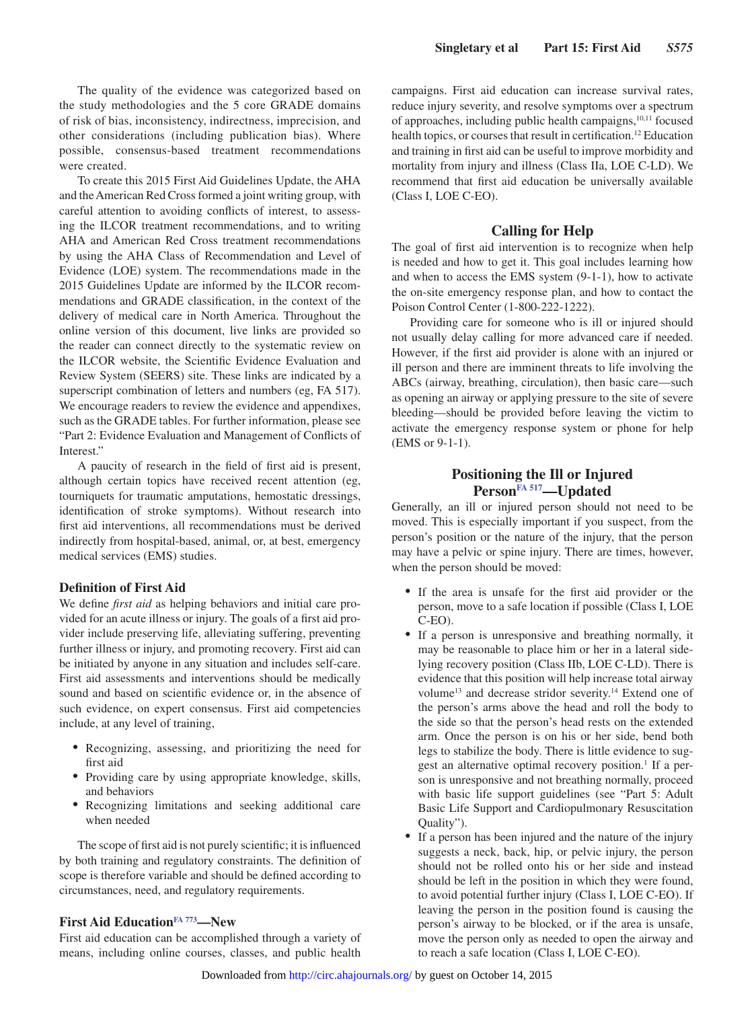The quality of the evidence was categorized based on the study methodologies and the 5 core GRADE domains of risk of bias, inconsistency, indirectness, imprecision, and other considerations (including publication bias). Where possible, consensus-based treatment recommendations were created.

To create this 2015 First Aid Guidelines Update, the AHA and the American Red Cross formed a joint writing group, with careful attention to avoiding conflicts of interest, to assessing the ILCOR treatment recommendations, and to writing AHA and American Red Cross treatment recommendations by using the AHA Class of Recommendation and Level of Evidence (LOE) system. The recommendations made in the 2015 Guidelines Update are informed by the ILCOR recommendations and GRADE classification, in the context of the delivery of medical care in North America. Throughout the online version of this document, live links are provided so the reader can connect directly to the systematic review on the ILCOR website, the Scientific Evidence Evaluation and Review System (SEERS) site. These links are indicated by a superscript combination of letters and numbers (eg, FA 517). We encourage readers to review the evidence and appendixes, such as the GRADE tables. For further information, please see "Part 2: Evidence Evaluation and Management of Conflicts of Interest."

A paucity of research in the field of first aid is present, although certain topics have received recent attention (eg, tourniquets for traumatic amputations, hemostatic dressings, identification of stroke symptoms). Without research into first aid interventions, all recommendations must be derived indirectly from hospital-based, animal, or, at best, emergency medical services (EMS) studies.

#### **Definition of First Aid**

We define *first aid* as helping behaviors and initial care provided for an acute illness or injury. The goals of a first aid provider include preserving life, alleviating suffering, preventing further illness or injury, and promoting recovery. First aid can be initiated by anyone in any situation and includes self-care. First aid assessments and interventions should be medically sound and based on scientific evidence or, in the absence of such evidence, on expert consensus. First aid competencies include, at any level of training,

- Recognizing, assessing, and prioritizing the need for first aid
- Providing care by using appropriate knowledge, skills, and behaviors
- • Recognizing limitations and seeking additional care when needed

The scope of first aid is not purely scientific; it is influenced by both training and regulatory constraints. The definition of scope is therefore variable and should be defined according to circumstances, need, and regulatory requirements.

#### **First Aid Education[FA 773](https://volunteer.heart.org/apps/pico/Pages/PublicComment.aspx?q=773)—New**

First aid education can be accomplished through a variety of means, including online courses, classes, and public health campaigns. First aid education can increase survival rates, reduce injury severity, and resolve symptoms over a spectrum of approaches, including public health campaigns,10,11 focused health topics, or courses that result in certification.<sup>12</sup> Education and training in first aid can be useful to improve morbidity and mortality from injury and illness (Class IIa, LOE C-LD). We recommend that first aid education be universally available (Class I, LOE C-EO).

#### **Calling for Help**

The goal of first aid intervention is to recognize when help is needed and how to get it. This goal includes learning how and when to access the EMS system (9-1-1), how to activate the on-site emergency response plan, and how to contact the Poison Control Center (1-800-222-1222).

Providing care for someone who is ill or injured should not usually delay calling for more advanced care if needed. However, if the first aid provider is alone with an injured or ill person and there are imminent threats to life involving the ABCs (airway, breathing, circulation), then basic care—such as opening an airway or applying pressure to the site of severe bleeding—should be provided before leaving the victim to activate the emergency response system or phone for help (EMS or 9-1-1).

## **Positioning the Ill or Injured Person[FA 517](https://volunteer.heart.org/apps/pico/Pages/PublicComment.aspx?q=517)—Updated**

Generally, an ill or injured person should not need to be moved. This is especially important if you suspect, from the person's position or the nature of the injury, that the person may have a pelvic or spine injury. There are times, however, when the person should be moved:

- If the area is unsafe for the first aid provider or the person, move to a safe location if possible (Class I, LOE C-EO).
- If a person is unresponsive and breathing normally, it may be reasonable to place him or her in a lateral sidelying recovery position (Class IIb, LOE C-LD). There is evidence that this position will help increase total airway volume<sup>13</sup> and decrease stridor severity.<sup>14</sup> Extend one of the person's arms above the head and roll the body to the side so that the person's head rests on the extended arm. Once the person is on his or her side, bend both legs to stabilize the body. There is little evidence to suggest an alternative optimal recovery position.<sup>1</sup> If a person is unresponsive and not breathing normally, proceed with basic life support guidelines (see "Part 5: Adult Basic Life Support and Cardiopulmonary Resuscitation Quality").
- If a person has been injured and the nature of the injury suggests a neck, back, hip, or pelvic injury, the person should not be rolled onto his or her side and instead should be left in the position in which they were found, to avoid potential further injury (Class I, LOE C-EO). If leaving the person in the position found is causing the person's airway to be blocked, or if the area is unsafe, move the person only as needed to open the airway and to reach a safe location (Class I, LOE C-EO).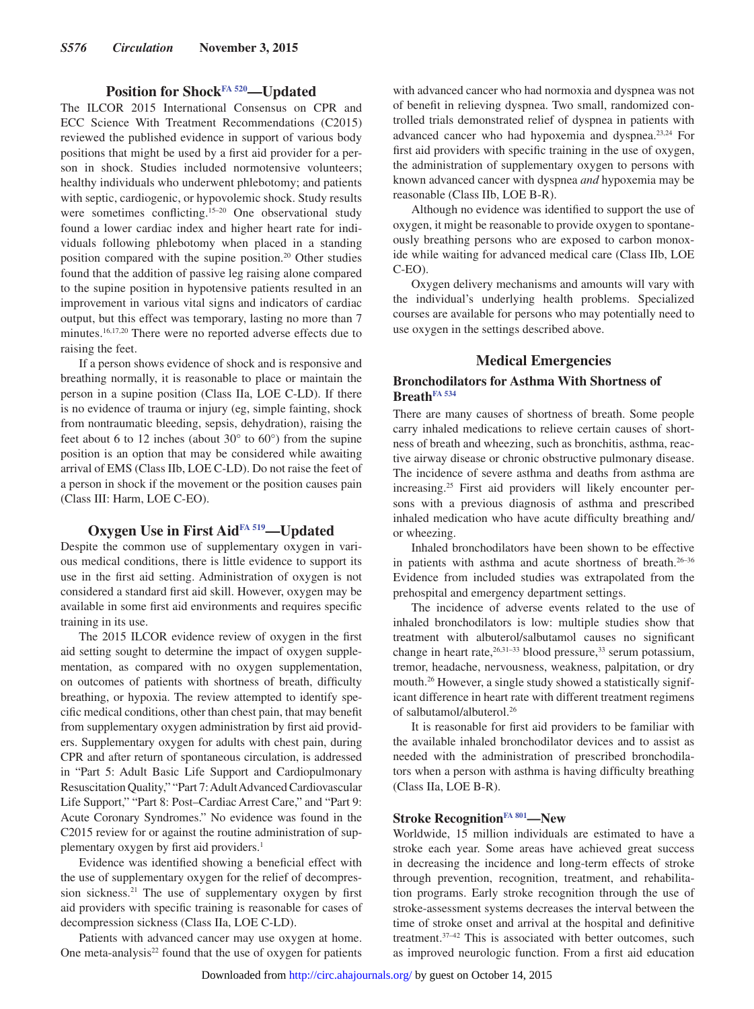## **Position for Shock[FA 520—](https://volunteer.heart.org/apps/pico/Pages/PublicComment.aspx?q=520)Updated**

The ILCOR 2015 International Consensus on CPR and ECC Science With Treatment Recommendations (C2015) reviewed the published evidence in support of various body positions that might be used by a first aid provider for a person in shock. Studies included normotensive volunteers; healthy individuals who underwent phlebotomy; and patients with septic, cardiogenic, or hypovolemic shock. Study results were sometimes conflicting.15–20 One observational study found a lower cardiac index and higher heart rate for individuals following phlebotomy when placed in a standing position compared with the supine position.20 Other studies found that the addition of passive leg raising alone compared to the supine position in hypotensive patients resulted in an improvement in various vital signs and indicators of cardiac output, but this effect was temporary, lasting no more than 7 minutes.16,17,20 There were no reported adverse effects due to raising the feet.

If a person shows evidence of shock and is responsive and breathing normally, it is reasonable to place or maintain the person in a supine position (Class IIa, LOE C-LD). If there is no evidence of trauma or injury (eg, simple fainting, shock from nontraumatic bleeding, sepsis, dehydration), raising the feet about 6 to 12 inches (about  $30^{\circ}$  to  $60^{\circ}$ ) from the supine position is an option that may be considered while awaiting arrival of EMS (Class IIb, LOE C-LD). Do not raise the feet of a person in shock if the movement or the position causes pain (Class III: Harm, LOE C-EO).

## **Oxygen Use in First Aid[FA 519—](https://volunteer.heart.org/apps/pico/Pages/PublicComment.aspx?q=519)Updated**

Despite the common use of supplementary oxygen in various medical conditions, there is little evidence to support its use in the first aid setting. Administration of oxygen is not considered a standard first aid skill. However, oxygen may be available in some first aid environments and requires specific training in its use.

The 2015 ILCOR evidence review of oxygen in the first aid setting sought to determine the impact of oxygen supplementation, as compared with no oxygen supplementation, on outcomes of patients with shortness of breath, difficulty breathing, or hypoxia. The review attempted to identify specific medical conditions, other than chest pain, that may benefit from supplementary oxygen administration by first aid providers. Supplementary oxygen for adults with chest pain, during CPR and after return of spontaneous circulation, is addressed in "Part 5: Adult Basic Life Support and Cardiopulmonary Resuscitation Quality," "Part 7: Adult Advanced Cardiovascular Life Support," "Part 8: Post–Cardiac Arrest Care," and "Part 9: Acute Coronary Syndromes." No evidence was found in the C2015 review for or against the routine administration of supplementary oxygen by first aid providers.<sup>1</sup>

Evidence was identified showing a beneficial effect with the use of supplementary oxygen for the relief of decompression sickness.21 The use of supplementary oxygen by first aid providers with specific training is reasonable for cases of decompression sickness (Class IIa, LOE C-LD).

Patients with advanced cancer may use oxygen at home. One meta-analysis $22$  found that the use of oxygen for patients

with advanced cancer who had normoxia and dyspnea was not of benefit in relieving dyspnea. Two small, randomized controlled trials demonstrated relief of dyspnea in patients with advanced cancer who had hypoxemia and dyspnea.23,24 For first aid providers with specific training in the use of oxygen, the administration of supplementary oxygen to persons with known advanced cancer with dyspnea *and* hypoxemia may be reasonable (Class IIb, LOE B-R).

Although no evidence was identified to support the use of oxygen, it might be reasonable to provide oxygen to spontaneously breathing persons who are exposed to carbon monoxide while waiting for advanced medical care (Class IIb, LOE C-EO).

Oxygen delivery mechanisms and amounts will vary with the individual's underlying health problems. Specialized courses are available for persons who may potentially need to use oxygen in the settings described above.

## **Medical Emergencies**

## **Bronchodilators for Asthma With Shortness of Breath[FA 534](https://volunteer.heart.org/apps/pico/Pages/PublicComment.aspx?q=534)**

There are many causes of shortness of breath. Some people carry inhaled medications to relieve certain causes of shortness of breath and wheezing, such as bronchitis, asthma, reactive airway disease or chronic obstructive pulmonary disease. The incidence of severe asthma and deaths from asthma are increasing.25 First aid providers will likely encounter persons with a previous diagnosis of asthma and prescribed inhaled medication who have acute difficulty breathing and/ or wheezing.

Inhaled bronchodilators have been shown to be effective in patients with asthma and acute shortness of breath.26–36 Evidence from included studies was extrapolated from the prehospital and emergency department settings.

The incidence of adverse events related to the use of inhaled bronchodilators is low: multiple studies show that treatment with albuterol/salbutamol causes no significant change in heart rate,<sup>26,31-33</sup> blood pressure,<sup>33</sup> serum potassium, tremor, headache, nervousness, weakness, palpitation, or dry mouth.<sup>26</sup> However, a single study showed a statistically significant difference in heart rate with different treatment regimens of salbutamol/albuterol.26

It is reasonable for first aid providers to be familiar with the available inhaled bronchodilator devices and to assist as needed with the administration of prescribed bronchodilators when a person with asthma is having difficulty breathing (Class IIa, LOE B-R).

#### **Stroke Recognition[FA 801](https://volunteer.heart.org/apps/pico/Pages/PublicComment.aspx?q=801)—New**

Worldwide, 15 million individuals are estimated to have a stroke each year. Some areas have achieved great success in decreasing the incidence and long-term effects of stroke through prevention, recognition, treatment, and rehabilitation programs. Early stroke recognition through the use of stroke-assessment systems decreases the interval between the time of stroke onset and arrival at the hospital and definitive treatment.37–42 This is associated with better outcomes, such as improved neurologic function. From a first aid education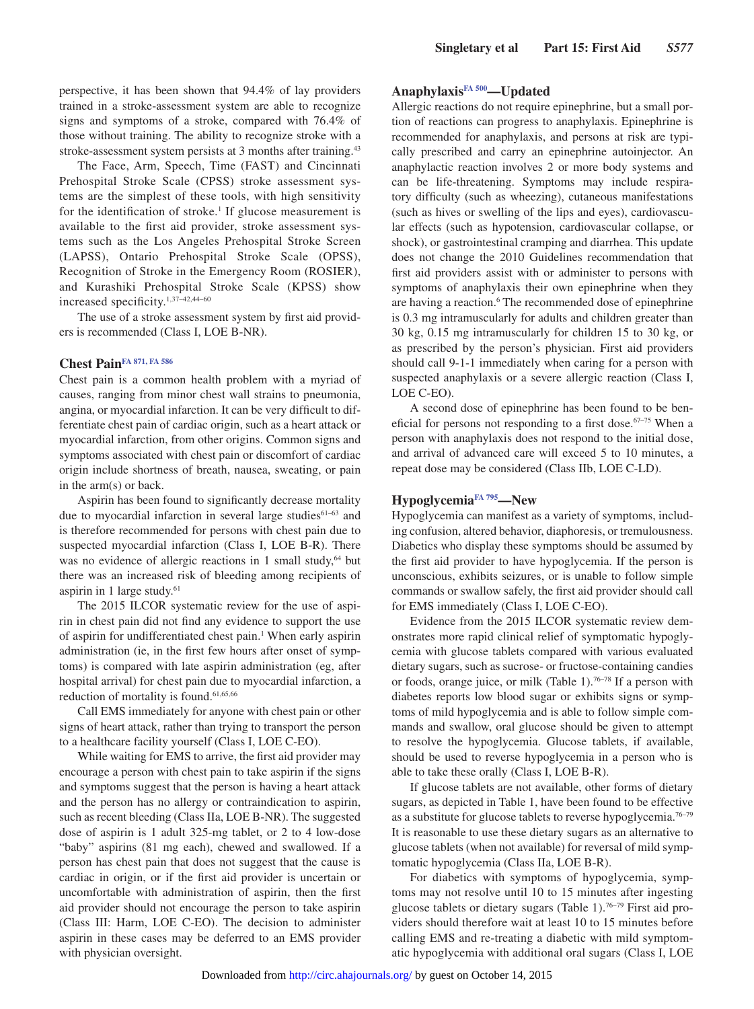perspective, it has been shown that 94.4% of lay providers trained in a stroke-assessment system are able to recognize signs and symptoms of a stroke, compared with 76.4% of those without training. The ability to recognize stroke with a stroke-assessment system persists at 3 months after training.<sup>43</sup>

The Face, Arm, Speech, Time (FAST) and Cincinnati Prehospital Stroke Scale (CPSS) stroke assessment systems are the simplest of these tools, with high sensitivity for the identification of stroke.<sup>1</sup> If glucose measurement is available to the first aid provider, stroke assessment systems such as the Los Angeles Prehospital Stroke Screen (LAPSS), Ontario Prehospital Stroke Scale (OPSS), Recognition of Stroke in the Emergency Room (ROSIER), and Kurashiki Prehospital Stroke Scale (KPSS) show increased specificity.1,37–42,44–60

The use of a stroke assessment system by first aid providers is recommended (Class I, LOE B-NR).

#### **Chest Pain[FA 871,](https://volunteer.heart.org/apps/pico/Pages/PublicComment.aspx?q=871) [FA 586](https://volunteer.heart.org/apps/pico/Pages/PublicComment.aspx?q=586)**

Chest pain is a common health problem with a myriad of causes, ranging from minor chest wall strains to pneumonia, angina, or myocardial infarction. It can be very difficult to differentiate chest pain of cardiac origin, such as a heart attack or myocardial infarction, from other origins. Common signs and symptoms associated with chest pain or discomfort of cardiac origin include shortness of breath, nausea, sweating, or pain in the arm(s) or back.

Aspirin has been found to significantly decrease mortality due to myocardial infarction in several large studies<sup>61-63</sup> and is therefore recommended for persons with chest pain due to suspected myocardial infarction (Class I, LOE B-R). There was no evidence of allergic reactions in 1 small study,<sup>64</sup> but there was an increased risk of bleeding among recipients of aspirin in 1 large study.<sup>61</sup>

The 2015 ILCOR systematic review for the use of aspirin in chest pain did not find any evidence to support the use of aspirin for undifferentiated chest pain.<sup>1</sup> When early aspirin administration (ie, in the first few hours after onset of symptoms) is compared with late aspirin administration (eg, after hospital arrival) for chest pain due to myocardial infarction, a reduction of mortality is found.<sup>61,65,66</sup>

Call EMS immediately for anyone with chest pain or other signs of heart attack, rather than trying to transport the person to a healthcare facility yourself (Class I, LOE C-EO).

While waiting for EMS to arrive, the first aid provider may encourage a person with chest pain to take aspirin if the signs and symptoms suggest that the person is having a heart attack and the person has no allergy or contraindication to aspirin, such as recent bleeding (Class IIa, LOE B-NR). The suggested dose of aspirin is 1 adult 325-mg tablet, or 2 to 4 low-dose "baby" aspirins (81 mg each), chewed and swallowed. If a person has chest pain that does not suggest that the cause is cardiac in origin, or if the first aid provider is uncertain or uncomfortable with administration of aspirin, then the first aid provider should not encourage the person to take aspirin (Class III: Harm, LOE C-EO). The decision to administer aspirin in these cases may be deferred to an EMS provider with physician oversight.

## **Anaphylaxis[FA 500](https://volunteer.heart.org/apps/pico/Pages/PublicComment.aspx?q=500)—Updated**

Allergic reactions do not require epinephrine, but a small portion of reactions can progress to anaphylaxis. Epinephrine is recommended for anaphylaxis, and persons at risk are typically prescribed and carry an epinephrine autoinjector. An anaphylactic reaction involves 2 or more body systems and can be life-threatening. Symptoms may include respiratory difficulty (such as wheezing), cutaneous manifestations (such as hives or swelling of the lips and eyes), cardiovascular effects (such as hypotension, cardiovascular collapse, or shock), or gastrointestinal cramping and diarrhea. This update does not change the 2010 Guidelines recommendation that first aid providers assist with or administer to persons with symptoms of anaphylaxis their own epinephrine when they are having a reaction.<sup>6</sup> The recommended dose of epinephrine is 0.3 mg intramuscularly for adults and children greater than 30 kg, 0.15 mg intramuscularly for children 15 to 30 kg, or as prescribed by the person's physician. First aid providers should call 9-1-1 immediately when caring for a person with suspected anaphylaxis or a severe allergic reaction (Class I, LOE C-EO).

A second dose of epinephrine has been found to be beneficial for persons not responding to a first dose.<sup>67–75</sup> When a person with anaphylaxis does not respond to the initial dose, and arrival of advanced care will exceed 5 to 10 minutes, a repeat dose may be considered (Class IIb, LOE C-LD).

#### **Hypoglycemi[aFA 795](https://volunteer.heart.org/apps/pico/Pages/PublicComment.aspx?q=795)—New**

Hypoglycemia can manifest as a variety of symptoms, including confusion, altered behavior, diaphoresis, or tremulousness. Diabetics who display these symptoms should be assumed by the first aid provider to have hypoglycemia. If the person is unconscious, exhibits seizures, or is unable to follow simple commands or swallow safely, the first aid provider should call for EMS immediately (Class I, LOE C-EO).

Evidence from the 2015 ILCOR systematic review demonstrates more rapid clinical relief of symptomatic hypoglycemia with glucose tablets compared with various evaluated dietary sugars, such as sucrose- or fructose-containing candies or foods, orange juice, or milk (Table 1).<sup>76–78</sup> If a person with diabetes reports low blood sugar or exhibits signs or symptoms of mild hypoglycemia and is able to follow simple commands and swallow, oral glucose should be given to attempt to resolve the hypoglycemia. Glucose tablets, if available, should be used to reverse hypoglycemia in a person who is able to take these orally (Class I, LOE B-R).

If glucose tablets are not available, other forms of dietary sugars, as depicted in Table 1, have been found to be effective as a substitute for glucose tablets to reverse hypoglycemia.76–79 It is reasonable to use these dietary sugars as an alternative to glucose tablets (when not available) for reversal of mild symptomatic hypoglycemia (Class IIa, LOE B-R).

For diabetics with symptoms of hypoglycemia, symptoms may not resolve until 10 to 15 minutes after ingesting glucose tablets or dietary sugars (Table 1).<sup>76–79</sup> First aid providers should therefore wait at least 10 to 15 minutes before calling EMS and re-treating a diabetic with mild symptomatic hypoglycemia with additional oral sugars (Class I, LOE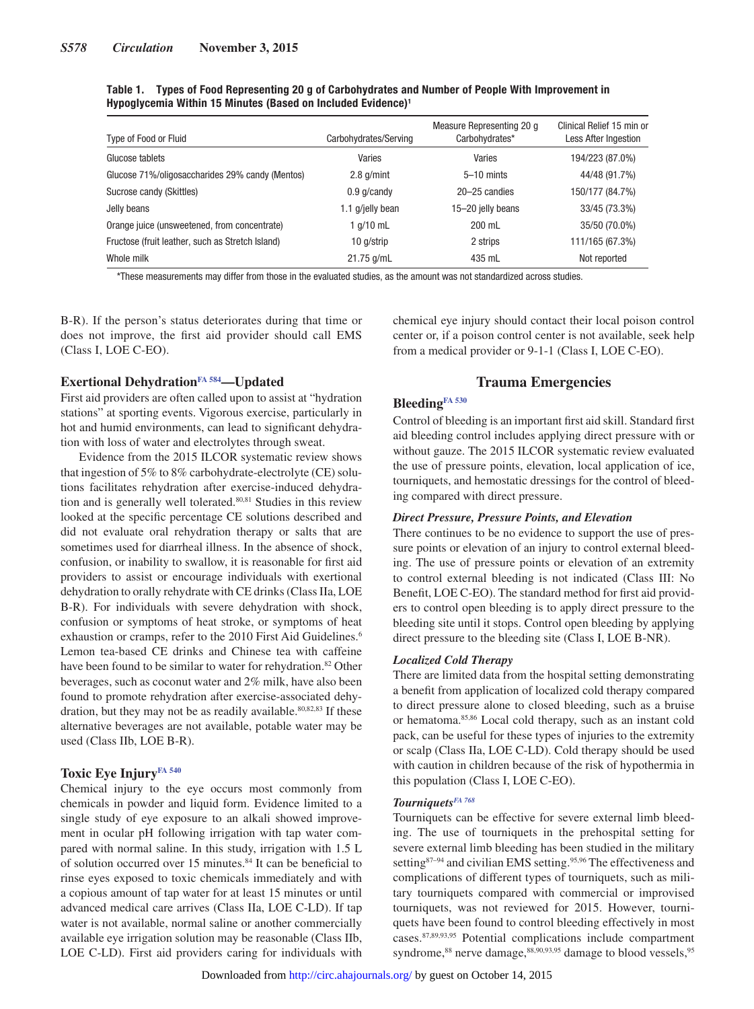| Type of Food or Fluid                            | Carbohydrates/Serving | Measure Representing 20 g<br>Carbohydrates* | Clinical Relief 15 min or<br><b>Less After Ingestion</b> |
|--------------------------------------------------|-----------------------|---------------------------------------------|----------------------------------------------------------|
| Glucose tablets                                  | Varies                | Varies                                      | 194/223 (87.0%)                                          |
| Glucose 71%/oligosaccharides 29% candy (Mentos)  | $2.8$ g/mint          | $5-10$ mints                                | 44/48 (91.7%)                                            |
| Sucrose candy (Skittles)                         | $0.9$ q/candy         | 20–25 candies                               | 150/177 (84.7%)                                          |
| Jelly beans                                      | 1.1 g/jelly bean      | 15-20 jelly beans                           | 33/45 (73.3%)                                            |
| Orange juice (unsweetened, from concentrate)     | 1 g/10 mL             | 200 mL                                      | 35/50 (70.0%)                                            |
| Fructose (fruit leather, such as Stretch Island) | 10 g/strip            | 2 strips                                    | 111/165 (67.3%)                                          |
| Whole milk                                       | 21.75 g/mL            | 435 mL                                      | Not reported                                             |

**Table 1. Types of Food Representing 20 g of Carbohydrates and Number of People With Improvement in Hypoglycemia Within 15 Minutes (Based on Included Evidence)1**

\*These measurements may differ from those in the evaluated studies, as the amount was not standardized across studies.

B-R). If the person's status deteriorates during that time or does not improve, the first aid provider should call EMS (Class I, LOE C-EO).

chemical eye injury should contact their local poison control center or, if a poison control center is not available, seek help from a medical provider or 9-1-1 (Class I, LOE C-EO).

## **Exertional Dehydratio[nFA 584—](https://volunteer.heart.org/apps/pico/Pages/PublicComment.aspx?q=584)Updated**

First aid providers are often called upon to assist at "hydration stations" at sporting events. Vigorous exercise, particularly in hot and humid environments, can lead to significant dehydration with loss of water and electrolytes through sweat.

Evidence from the 2015 ILCOR systematic review shows that ingestion of 5% to 8% carbohydrate-electrolyte (CE) solutions facilitates rehydration after exercise-induced dehydration and is generally well tolerated.<sup>80,81</sup> Studies in this review looked at the specific percentage CE solutions described and did not evaluate oral rehydration therapy or salts that are sometimes used for diarrheal illness. In the absence of shock, confusion, or inability to swallow, it is reasonable for first aid providers to assist or encourage individuals with exertional dehydration to orally rehydrate with CE drinks (Class IIa, LOE B-R). For individuals with severe dehydration with shock, confusion or symptoms of heat stroke, or symptoms of heat exhaustion or cramps, refer to the 2010 First Aid Guidelines.<sup>6</sup> Lemon tea-based CE drinks and Chinese tea with caffeine have been found to be similar to water for rehydration.<sup>82</sup> Other beverages, such as coconut water and 2% milk, have also been found to promote rehydration after exercise-associated dehydration, but they may not be as readily available.<sup>80,82,83</sup> If these alternative beverages are not available, potable water may be used (Class IIb, LOE B-R).

#### Toxic Eye Injury<sup>FA 540</sup>

Chemical injury to the eye occurs most commonly from chemicals in powder and liquid form. Evidence limited to a single study of eye exposure to an alkali showed improvement in ocular pH following irrigation with tap water compared with normal saline. In this study, irrigation with 1.5 L of solution occurred over 15 minutes.<sup>84</sup> It can be beneficial to rinse eyes exposed to toxic chemicals immediately and with a copious amount of tap water for at least 15 minutes or until advanced medical care arrives (Class IIa, LOE C-LD). If tap water is not available, normal saline or another commercially available eye irrigation solution may be reasonable (Class IIb, LOE C-LD). First aid providers caring for individuals with

## **Trauma Emergencies**

## **Bleedin[gFA 530](https://volunteer.heart.org/apps/pico/Pages/PublicComment.aspx?q=530)**

Control of bleeding is an important first aid skill. Standard first aid bleeding control includes applying direct pressure with or without gauze. The 2015 ILCOR systematic review evaluated the use of pressure points, elevation, local application of ice, tourniquets, and hemostatic dressings for the control of bleeding compared with direct pressure.

#### *Direct Pressure, Pressure Points, and Elevation*

There continues to be no evidence to support the use of pressure points or elevation of an injury to control external bleeding. The use of pressure points or elevation of an extremity to control external bleeding is not indicated (Class III: No Benefit, LOE C-EO). The standard method for first aid providers to control open bleeding is to apply direct pressure to the bleeding site until it stops. Control open bleeding by applying direct pressure to the bleeding site (Class I, LOE B-NR).

#### *Localized Cold Therapy*

There are limited data from the hospital setting demonstrating a benefit from application of localized cold therapy compared to direct pressure alone to closed bleeding, such as a bruise or hematoma.85,86 Local cold therapy, such as an instant cold pack, can be useful for these types of injuries to the extremity or scalp (Class IIa, LOE C-LD). Cold therapy should be used with caution in children because of the risk of hypothermia in this population (Class I, LOE C-EO).

## *Tourniquet[sFA 768](https://volunteer.heart.org/apps/pico/Pages/PublicComment.aspx?q=768)*

Tourniquets can be effective for severe external limb bleeding. The use of tourniquets in the prehospital setting for severe external limb bleeding has been studied in the military setting<sup>87–94</sup> and civilian EMS setting.<sup>95,96</sup> The effectiveness and complications of different types of tourniquets, such as military tourniquets compared with commercial or improvised tourniquets, was not reviewed for 2015. However, tourniquets have been found to control bleeding effectively in most cases.87,89,93,95 Potential complications include compartment syndrome,<sup>88</sup> nerve damage,<sup>88,90,93,95</sup> damage to blood vessels,<sup>95</sup>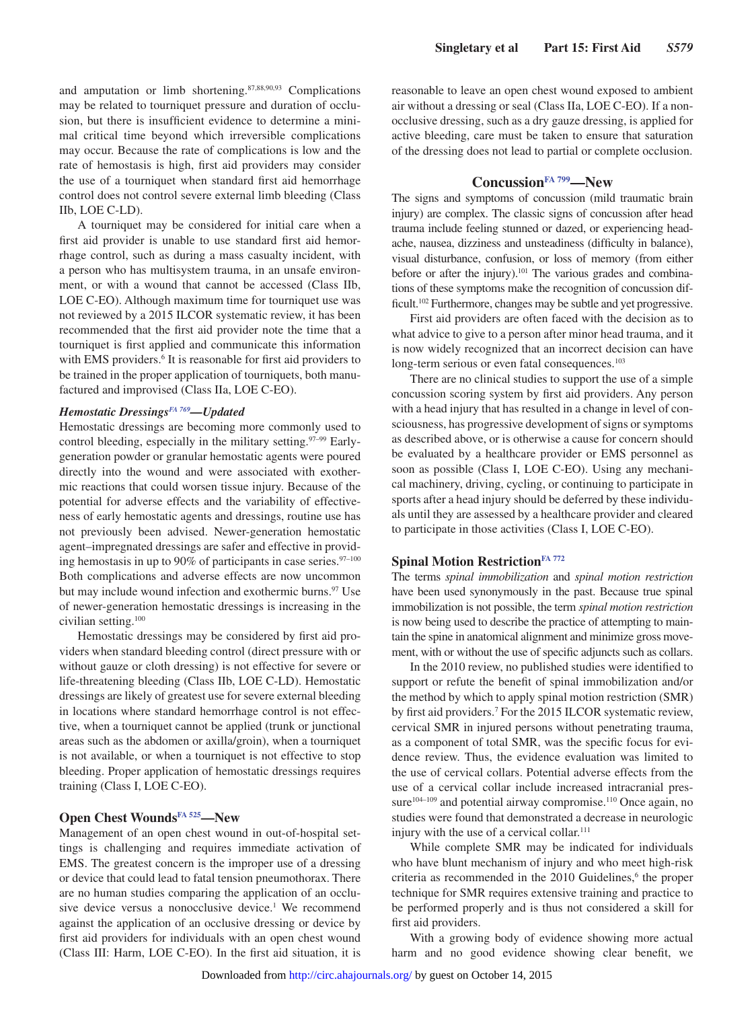and amputation or limb shortening.87,88,90,93 Complications may be related to tourniquet pressure and duration of occlusion, but there is insufficient evidence to determine a minimal critical time beyond which irreversible complications may occur. Because the rate of complications is low and the rate of hemostasis is high, first aid providers may consider the use of a tourniquet when standard first aid hemorrhage control does not control severe external limb bleeding (Class IIb, LOE C-LD).

A tourniquet may be considered for initial care when a first aid provider is unable to use standard first aid hemorrhage control, such as during a mass casualty incident, with a person who has multisystem trauma, in an unsafe environment, or with a wound that cannot be accessed (Class IIb, LOE C-EO). Although maximum time for tourniquet use was not reviewed by a 2015 ILCOR systematic review, it has been recommended that the first aid provider note the time that a tourniquet is first applied and communicate this information with EMS providers.<sup>6</sup> It is reasonable for first aid providers to be trained in the proper application of tourniquets, both manufactured and improvised (Class IIa, LOE C-EO).

#### *Hemostatic Dressings<sup>FA 769</sup>—Updated*

Hemostatic dressings are becoming more commonly used to control bleeding, especially in the military setting. $97-99$  Earlygeneration powder or granular hemostatic agents were poured directly into the wound and were associated with exothermic reactions that could worsen tissue injury. Because of the potential for adverse effects and the variability of effectiveness of early hemostatic agents and dressings, routine use has not previously been advised. Newer-generation hemostatic agent–impregnated dressings are safer and effective in providing hemostasis in up to 90% of participants in case series. $97-100$ Both complications and adverse effects are now uncommon but may include wound infection and exothermic burns.<sup>97</sup> Use of newer-generation hemostatic dressings is increasing in the civilian setting.100

Hemostatic dressings may be considered by first aid providers when standard bleeding control (direct pressure with or without gauze or cloth dressing) is not effective for severe or life-threatening bleeding (Class IIb, LOE C-LD). Hemostatic dressings are likely of greatest use for severe external bleeding in locations where standard hemorrhage control is not effective, when a tourniquet cannot be applied (trunk or junctional areas such as the abdomen or axilla/groin), when a tourniquet is not available, or when a tourniquet is not effective to stop bleeding. Proper application of hemostatic dressings requires training (Class I, LOE C-EO).

#### **Open Chest Wounds[FA 525—](https://volunteer.heart.org/apps/pico/Pages/PublicComment.aspx?q=525)New**

Management of an open chest wound in out-of-hospital settings is challenging and requires immediate activation of EMS. The greatest concern is the improper use of a dressing or device that could lead to fatal tension pneumothorax. There are no human studies comparing the application of an occlusive device versus a nonocclusive device.<sup>1</sup> We recommend against the application of an occlusive dressing or device by first aid providers for individuals with an open chest wound (Class III: Harm, LOE C-EO). In the first aid situation, it is

reasonable to leave an open chest wound exposed to ambient air without a dressing or seal (Class IIa, LOE C-EO). If a nonocclusive dressing, such as a dry gauze dressing, is applied for active bleeding, care must be taken to ensure that saturation of the dressing does not lead to partial or complete occlusion.

#### **Concussio[nFA 799—](https://volunteer.heart.org/apps/pico/Pages/PublicComment.aspx?q=799)New**

The signs and symptoms of concussion (mild traumatic brain injury) are complex. The classic signs of concussion after head trauma include feeling stunned or dazed, or experiencing headache, nausea, dizziness and unsteadiness (difficulty in balance), visual disturbance, confusion, or loss of memory (from either before or after the injury).<sup>101</sup> The various grades and combinations of these symptoms make the recognition of concussion difficult.102 Furthermore, changes may be subtle and yet progressive.

First aid providers are often faced with the decision as to what advice to give to a person after minor head trauma, and it is now widely recognized that an incorrect decision can have long-term serious or even fatal consequences.<sup>103</sup>

There are no clinical studies to support the use of a simple concussion scoring system by first aid providers. Any person with a head injury that has resulted in a change in level of consciousness, has progressive development of signs or symptoms as described above, or is otherwise a cause for concern should be evaluated by a healthcare provider or EMS personnel as soon as possible (Class I, LOE C-EO). Using any mechanical machinery, driving, cycling, or continuing to participate in sports after a head injury should be deferred by these individuals until they are assessed by a healthcare provider and cleared to participate in those activities (Class I, LOE C-EO).

#### **Spinal Motion Restriction**<sup>FA 772</sup>

The terms *spinal immobilization* and *spinal motion restriction* have been used synonymously in the past. Because true spinal immobilization is not possible, the term *spinal motion restriction* is now being used to describe the practice of attempting to maintain the spine in anatomical alignment and minimize gross movement, with or without the use of specific adjuncts such as collars.

In the 2010 review, no published studies were identified to support or refute the benefit of spinal immobilization and/or the method by which to apply spinal motion restriction (SMR) by first aid providers.7 For the 2015 ILCOR systematic review, cervical SMR in injured persons without penetrating trauma, as a component of total SMR, was the specific focus for evidence review. Thus, the evidence evaluation was limited to the use of cervical collars. Potential adverse effects from the use of a cervical collar include increased intracranial pressure $104-109$  and potential airway compromise.<sup>110</sup> Once again, no studies were found that demonstrated a decrease in neurologic injury with the use of a cervical collar.<sup>111</sup>

While complete SMR may be indicated for individuals who have blunt mechanism of injury and who meet high-risk criteria as recommended in the 2010 Guidelines,<sup>6</sup> the proper technique for SMR requires extensive training and practice to be performed properly and is thus not considered a skill for first aid providers.

With a growing body of evidence showing more actual harm and no good evidence showing clear benefit, we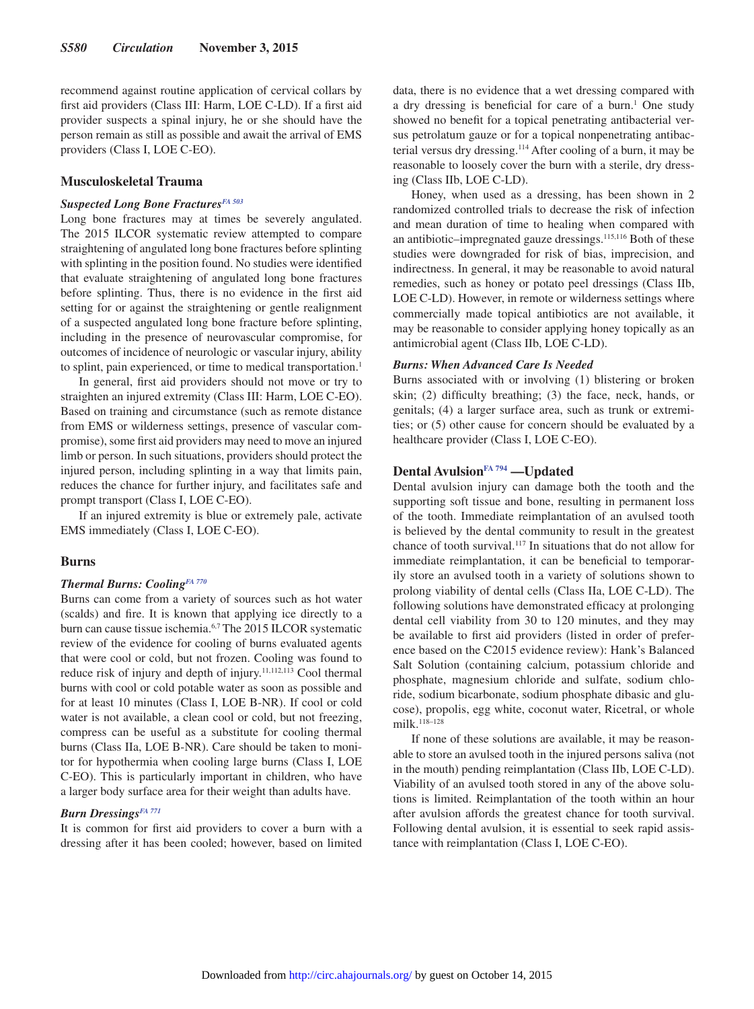recommend against routine application of cervical collars by first aid providers (Class III: Harm, LOE C-LD). If a first aid provider suspects a spinal injury, he or she should have the person remain as still as possible and await the arrival of EMS providers (Class I, LOE C-EO).

#### **Musculoskeletal Trauma**

## **Suspected Long Bone Fractures**<sup>FA 503</sup>

Long bone fractures may at times be severely angulated. The 2015 ILCOR systematic review attempted to compare straightening of angulated long bone fractures before splinting with splinting in the position found. No studies were identified that evaluate straightening of angulated long bone fractures before splinting. Thus, there is no evidence in the first aid setting for or against the straightening or gentle realignment of a suspected angulated long bone fracture before splinting, including in the presence of neurovascular compromise, for outcomes of incidence of neurologic or vascular injury, ability to splint, pain experienced, or time to medical transportation.<sup>1</sup>

In general, first aid providers should not move or try to straighten an injured extremity (Class III: Harm, LOE C-EO). Based on training and circumstance (such as remote distance from EMS or wilderness settings, presence of vascular compromise), some first aid providers may need to move an injured limb or person. In such situations, providers should protect the injured person, including splinting in a way that limits pain, reduces the chance for further injury, and facilitates safe and prompt transport (Class I, LOE C-EO).

If an injured extremity is blue or extremely pale, activate EMS immediately (Class I, LOE C-EO).

#### **Burns**

## *Thermal Burns: Coolin[gFA 770](https://volunteer.heart.org/apps/pico/Pages/PublicComment.aspx?q=770)*

Burns can come from a variety of sources such as hot water (scalds) and fire. It is known that applying ice directly to a burn can cause tissue ischemia.6,7 The 2015 ILCOR systematic review of the evidence for cooling of burns evaluated agents that were cool or cold, but not frozen. Cooling was found to reduce risk of injury and depth of injury.11,112,113 Cool thermal burns with cool or cold potable water as soon as possible and for at least 10 minutes (Class I, LOE B-NR). If cool or cold water is not available, a clean cool or cold, but not freezing, compress can be useful as a substitute for cooling thermal burns (Class IIa, LOE B-NR). Care should be taken to monitor for hypothermia when cooling large burns (Class I, LOE C-EO). This is particularly important in children, who have a larger body surface area for their weight than adults have.

#### *Burn Dressings[FA 771](https://volunteer.heart.org/apps/pico/Pages/PublicComment.aspx?q=771)*

It is common for first aid providers to cover a burn with a dressing after it has been cooled; however, based on limited

data, there is no evidence that a wet dressing compared with a dry dressing is beneficial for care of a burn.<sup>1</sup> One study showed no benefit for a topical penetrating antibacterial versus petrolatum gauze or for a topical nonpenetrating antibacterial versus dry dressing.114 After cooling of a burn, it may be reasonable to loosely cover the burn with a sterile, dry dressing (Class IIb, LOE C-LD).

Honey, when used as a dressing, has been shown in 2 randomized controlled trials to decrease the risk of infection and mean duration of time to healing when compared with an antibiotic–impregnated gauze dressings.<sup>115,116</sup> Both of these studies were downgraded for risk of bias, imprecision, and indirectness. In general, it may be reasonable to avoid natural remedies, such as honey or potato peel dressings (Class IIb, LOE C-LD). However, in remote or wilderness settings where commercially made topical antibiotics are not available, it may be reasonable to consider applying honey topically as an antimicrobial agent (Class IIb, LOE C-LD).

#### *Burns: When Advanced Care Is Needed*

Burns associated with or involving (1) blistering or broken skin; (2) difficulty breathing; (3) the face, neck, hands, or genitals; (4) a larger surface area, such as trunk or extremities; or (5) other cause for concern should be evaluated by a healthcare provider (Class I, LOE C-EO).

## **Dental Avulsion**<sup>FA 794</sup> —Updated

Dental avulsion injury can damage both the tooth and the supporting soft tissue and bone, resulting in permanent loss of the tooth. Immediate reimplantation of an avulsed tooth is believed by the dental community to result in the greatest chance of tooth survival.117 In situations that do not allow for immediate reimplantation, it can be beneficial to temporarily store an avulsed tooth in a variety of solutions shown to prolong viability of dental cells (Class IIa, LOE C-LD). The following solutions have demonstrated efficacy at prolonging dental cell viability from 30 to 120 minutes, and they may be available to first aid providers (listed in order of preference based on the C2015 evidence review): Hank's Balanced Salt Solution (containing calcium, potassium chloride and phosphate, magnesium chloride and sulfate, sodium chloride, sodium bicarbonate, sodium phosphate dibasic and glucose), propolis, egg white, coconut water, Ricetral, or whole milk.118–128

If none of these solutions are available, it may be reasonable to store an avulsed tooth in the injured persons saliva (not in the mouth) pending reimplantation (Class IIb, LOE C-LD). Viability of an avulsed tooth stored in any of the above solutions is limited. Reimplantation of the tooth within an hour after avulsion affords the greatest chance for tooth survival. Following dental avulsion, it is essential to seek rapid assistance with reimplantation (Class I, LOE C-EO).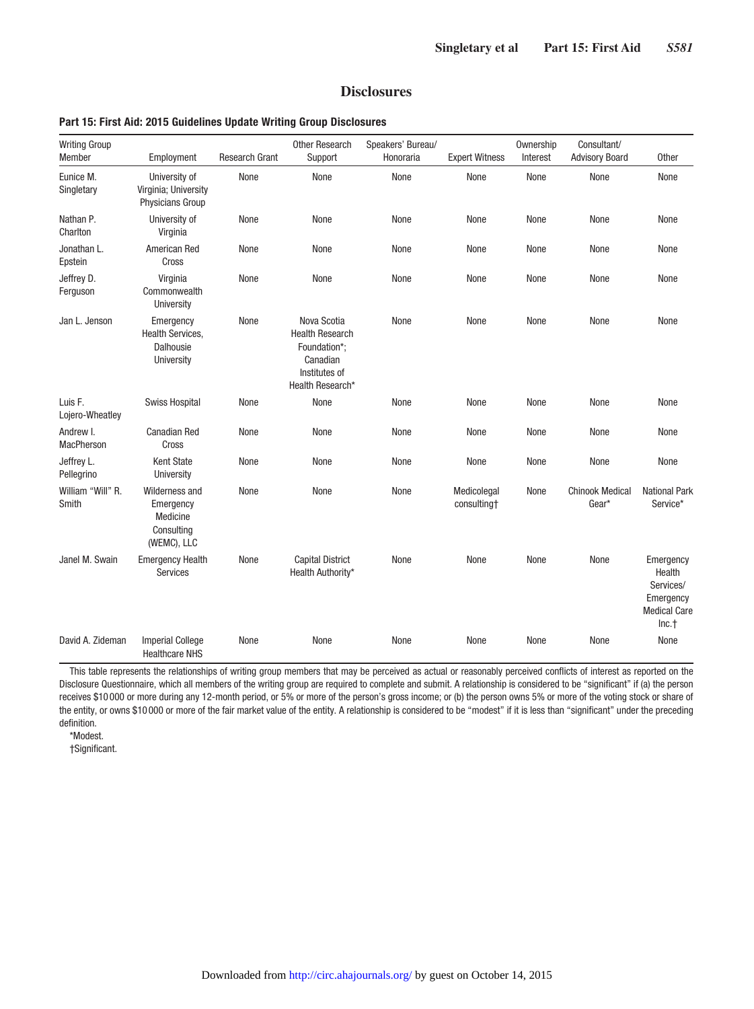## **Disclosures**

## **Part 15: First Aid: 2015 Guidelines Update Writing Group Disclosures**

| <b>Writing Group</b><br>Member | Employment                                                           | <b>Research Grant</b> | <b>Other Research</b><br>Support                                                                       | Speakers' Bureau/<br>Honoraria | <b>Expert Witness</b>      | Ownership<br>Interest | Consultant/<br><b>Advisory Board</b> | Other                                                                         |
|--------------------------------|----------------------------------------------------------------------|-----------------------|--------------------------------------------------------------------------------------------------------|--------------------------------|----------------------------|-----------------------|--------------------------------------|-------------------------------------------------------------------------------|
| Eunice M.<br>Singletary        | University of<br>Virginia; University<br><b>Physicians Group</b>     | None                  | None                                                                                                   | None                           | None                       | None                  | None                                 | None                                                                          |
| Nathan P.<br>Charlton          | University of<br>Virginia                                            | None                  | None                                                                                                   | None                           | None                       | None                  | None                                 | None                                                                          |
| Jonathan L.<br>Epstein         | American Red<br>Cross                                                | None                  | None                                                                                                   | None                           | None                       | None                  | None                                 | None                                                                          |
| Jeffrey D.<br>Ferguson         | Virginia<br>Commonwealth<br>University                               | None                  | None                                                                                                   | None                           | None                       | None                  | None                                 | None                                                                          |
| Jan L. Jenson                  | Emergency<br><b>Health Services,</b><br>Dalhousie<br>University      | None                  | Nova Scotia<br><b>Health Research</b><br>Foundation*:<br>Canadian<br>Institutes of<br>Health Research* | None                           | None                       | None                  | None                                 | None                                                                          |
| Luis F.<br>Lojero-Wheatley     | <b>Swiss Hospital</b>                                                | None                  | None                                                                                                   | None                           | None                       | None                  | None                                 | None                                                                          |
| Andrew I.<br><b>MacPherson</b> | <b>Canadian Red</b><br>Cross                                         | None                  | None                                                                                                   | None                           | None                       | None                  | None                                 | None                                                                          |
| Jeffrey L.<br>Pellegrino       | <b>Kent State</b><br>University                                      | None                  | None                                                                                                   | None                           | None                       | None                  | None                                 | None                                                                          |
| William "Will" R.<br>Smith     | Wilderness and<br>Emergency<br>Medicine<br>Consulting<br>(WEMC), LLC | None                  | None                                                                                                   | None                           | Medicolegal<br>consulting† | None                  | <b>Chinook Medical</b><br>Gear*      | <b>National Park</b><br>Service*                                              |
| Janel M. Swain                 | <b>Emergency Health</b><br><b>Services</b>                           | None                  | <b>Capital District</b><br>Health Authority*                                                           | None                           | None                       | None                  | None                                 | Emergency<br>Health<br>Services/<br>Emergency<br><b>Medical Care</b><br>Inc.† |
| David A. Zideman               | <b>Imperial College</b><br><b>Healthcare NHS</b>                     | None                  | None                                                                                                   | None                           | None                       | None                  | None                                 | None                                                                          |

This table represents the relationships of writing group members that may be perceived as actual or reasonably perceived conflicts of interest as reported on the Disclosure Questionnaire, which all members of the writing group are required to complete and submit. A relationship is considered to be "significant" if (a) the person receives \$10 000 or more during any 12-month period, or 5% or more of the person's gross income; or (b) the person owns 5% or more of the voting stock or share of the entity, or owns \$10 000 or more of the fair market value of the entity. A relationship is considered to be "modest" if it is less than "significant" under the preceding definition.

\*Modest.

†Significant.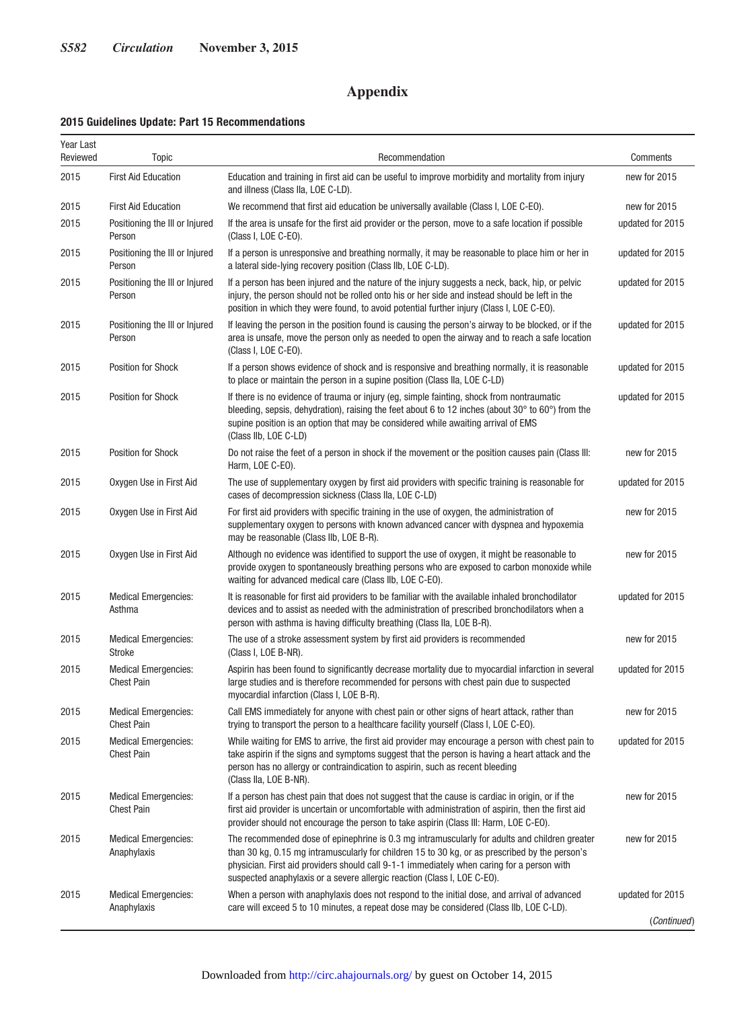## **Appendix**

#### **2015 Guidelines Update: Part 15 Recommendations**

| Year Last<br>Reviewed | <b>Topic</b>                                     | Recommendation                                                                                                                                                                                                                                                                                                                                                            | Comments         |
|-----------------------|--------------------------------------------------|---------------------------------------------------------------------------------------------------------------------------------------------------------------------------------------------------------------------------------------------------------------------------------------------------------------------------------------------------------------------------|------------------|
| 2015                  | <b>First Aid Education</b>                       | Education and training in first aid can be useful to improve morbidity and mortality from injury<br>and illness (Class IIa, LOE C-LD).                                                                                                                                                                                                                                    | new for 2015     |
| 2015                  | <b>First Aid Education</b>                       | We recommend that first aid education be universally available (Class I, LOE C-EO).                                                                                                                                                                                                                                                                                       | new for 2015     |
| 2015                  | Positioning the III or Injured<br>Person         | If the area is unsafe for the first aid provider or the person, move to a safe location if possible<br>(Class I, LOE C-EO).                                                                                                                                                                                                                                               | updated for 2015 |
| 2015                  | Positioning the III or Injured<br>Person         | If a person is unresponsive and breathing normally, it may be reasonable to place him or her in<br>a lateral side-lying recovery position (Class IIb, LOE C-LD).                                                                                                                                                                                                          | updated for 2015 |
| 2015                  | Positioning the III or Injured<br>Person         | If a person has been injured and the nature of the injury suggests a neck, back, hip, or pelvic<br>injury, the person should not be rolled onto his or her side and instead should be left in the<br>position in which they were found, to avoid potential further injury (Class I, LOE C-EO).                                                                            | updated for 2015 |
| 2015                  | Positioning the III or Injured<br>Person         | If leaving the person in the position found is causing the person's airway to be blocked, or if the<br>area is unsafe, move the person only as needed to open the airway and to reach a safe location<br>(Class I, LOE C-EO).                                                                                                                                             | updated for 2015 |
| 2015                  | Position for Shock                               | If a person shows evidence of shock and is responsive and breathing normally, it is reasonable<br>to place or maintain the person in a supine position (Class IIa, LOE C-LD)                                                                                                                                                                                              | updated for 2015 |
| 2015                  | Position for Shock                               | If there is no evidence of trauma or injury (eg, simple fainting, shock from nontraumatic<br>bleeding, sepsis, dehydration), raising the feet about 6 to 12 inches (about 30 $^{\circ}$ to 60 $^{\circ}$ ) from the<br>supine position is an option that may be considered while awaiting arrival of EMS<br>(Class IIb, LOE C-LD)                                         | updated for 2015 |
| 2015                  | <b>Position for Shock</b>                        | Do not raise the feet of a person in shock if the movement or the position causes pain (Class III:<br>Harm, LOE C-EO).                                                                                                                                                                                                                                                    | new for 2015     |
| 2015                  | Oxygen Use in First Aid                          | The use of supplementary oxygen by first aid providers with specific training is reasonable for<br>cases of decompression sickness (Class IIa, LOE C-LD)                                                                                                                                                                                                                  | updated for 2015 |
| 2015                  | Oxygen Use in First Aid                          | For first aid providers with specific training in the use of oxygen, the administration of<br>supplementary oxygen to persons with known advanced cancer with dyspnea and hypoxemia<br>may be reasonable (Class IIb, LOE B-R).                                                                                                                                            | new for 2015     |
| 2015                  | Oxygen Use in First Aid                          | Although no evidence was identified to support the use of oxygen, it might be reasonable to<br>provide oxygen to spontaneously breathing persons who are exposed to carbon monoxide while<br>waiting for advanced medical care (Class IIb, LOE C-EO).                                                                                                                     | new for 2015     |
| 2015                  | <b>Medical Emergencies:</b><br>Asthma            | It is reasonable for first aid providers to be familiar with the available inhaled bronchodilator<br>devices and to assist as needed with the administration of prescribed bronchodilators when a<br>person with asthma is having difficulty breathing (Class IIa, LOE B-R).                                                                                              | updated for 2015 |
| 2015                  | <b>Medical Emergencies:</b><br>Stroke            | The use of a stroke assessment system by first aid providers is recommended<br>(Class I, LOE B-NR).                                                                                                                                                                                                                                                                       | new for 2015     |
| 2015                  | <b>Medical Emergencies:</b><br><b>Chest Pain</b> | Aspirin has been found to significantly decrease mortality due to myocardial infarction in several<br>large studies and is therefore recommended for persons with chest pain due to suspected<br>myocardial infarction (Class I, LOE B-R).                                                                                                                                | updated for 2015 |
| 2015                  | <b>Medical Emergencies:</b><br><b>Chest Pain</b> | Call EMS immediately for anyone with chest pain or other signs of heart attack, rather than<br>trying to transport the person to a healthcare facility yourself (Class I, LOE C-EO).                                                                                                                                                                                      | new for 2015     |
| 2015                  | <b>Medical Emergencies:</b><br><b>Chest Pain</b> | While waiting for EMS to arrive, the first aid provider may encourage a person with chest pain to<br>take aspirin if the signs and symptoms suggest that the person is having a heart attack and the<br>person has no allergy or contraindication to aspirin, such as recent bleeding<br>(Class IIa, LOE B-NR).                                                           | updated for 2015 |
| 2015                  | <b>Medical Emergencies:</b><br><b>Chest Pain</b> | If a person has chest pain that does not suggest that the cause is cardiac in origin, or if the<br>first aid provider is uncertain or uncomfortable with administration of aspirin, then the first aid<br>provider should not encourage the person to take aspirin (Class III: Harm, LOE C-EO).                                                                           | new for 2015     |
| 2015                  | <b>Medical Emergencies:</b><br>Anaphylaxis       | The recommended dose of epinephrine is 0.3 mg intramuscularly for adults and children greater<br>than 30 kg, 0.15 mg intramuscularly for children 15 to 30 kg, or as prescribed by the person's<br>physician. First aid providers should call 9-1-1 immediately when caring for a person with<br>suspected anaphylaxis or a severe allergic reaction (Class I, LOE C-EO). | new for 2015     |
| 2015                  | <b>Medical Emergencies:</b><br>Anaphylaxis       | When a person with anaphylaxis does not respond to the initial dose, and arrival of advanced<br>care will exceed 5 to 10 minutes, a repeat dose may be considered (Class IIb, LOE C-LD).                                                                                                                                                                                  | updated for 2015 |
|                       |                                                  |                                                                                                                                                                                                                                                                                                                                                                           | (Continued)      |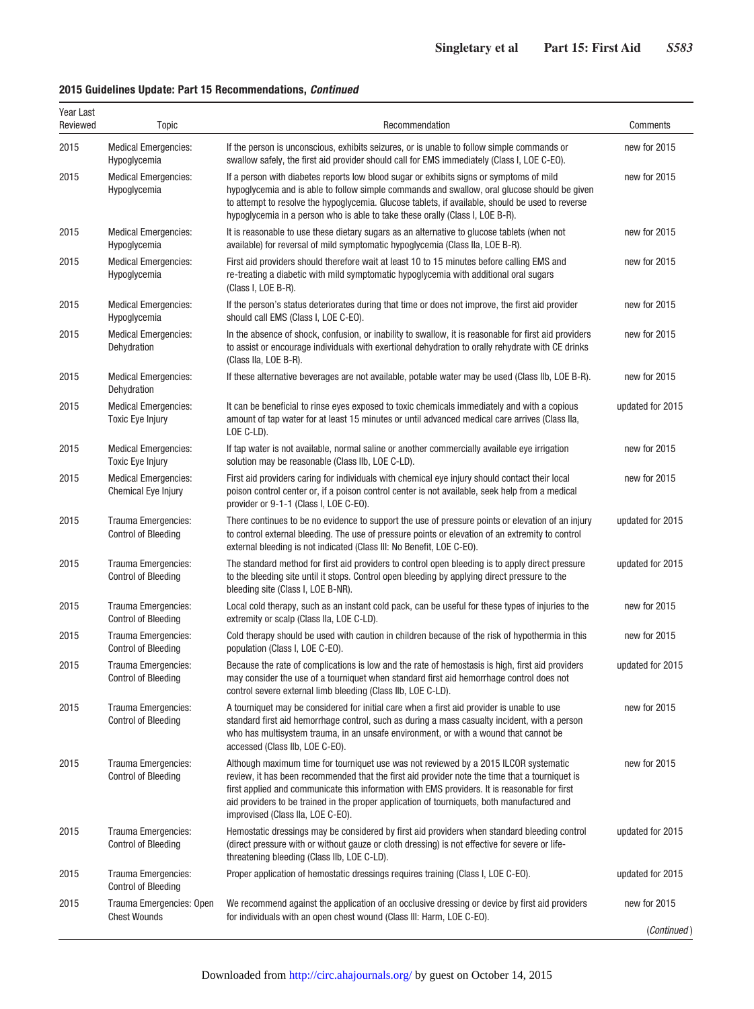## **2015 Guidelines Update: Part 15 Recommendations,** *Continued*

| Year Last<br>Reviewed | Topic                                                  | Recommendation                                                                                                                                                                                                                                                                                                                                                                                                              | Comments         |
|-----------------------|--------------------------------------------------------|-----------------------------------------------------------------------------------------------------------------------------------------------------------------------------------------------------------------------------------------------------------------------------------------------------------------------------------------------------------------------------------------------------------------------------|------------------|
| 2015                  | <b>Medical Emergencies:</b><br>Hypoglycemia            | If the person is unconscious, exhibits seizures, or is unable to follow simple commands or<br>swallow safely, the first aid provider should call for EMS immediately (Class I, LOE C-EO).                                                                                                                                                                                                                                   | new for 2015     |
| 2015                  | <b>Medical Emergencies:</b><br>Hypoglycemia            | If a person with diabetes reports low blood sugar or exhibits signs or symptoms of mild<br>hypoglycemia and is able to follow simple commands and swallow, oral glucose should be given<br>to attempt to resolve the hypoglycemia. Glucose tablets, if available, should be used to reverse<br>hypoglycemia in a person who is able to take these orally (Class I, LOE B-R).                                                | new for 2015     |
| 2015                  | <b>Medical Emergencies:</b><br>Hypoglycemia            | It is reasonable to use these dietary sugars as an alternative to glucose tablets (when not<br>available) for reversal of mild symptomatic hypoglycemia (Class IIa, LOE B-R).                                                                                                                                                                                                                                               | new for 2015     |
| 2015                  | <b>Medical Emergencies:</b><br>Hypoglycemia            | First aid providers should therefore wait at least 10 to 15 minutes before calling EMS and<br>re-treating a diabetic with mild symptomatic hypoglycemia with additional oral sugars<br>(Class I, LOE B-R).                                                                                                                                                                                                                  | new for 2015     |
| 2015                  | <b>Medical Emergencies:</b><br>Hypoglycemia            | If the person's status deteriorates during that time or does not improve, the first aid provider<br>should call EMS (Class I, LOE C-EO).                                                                                                                                                                                                                                                                                    | new for 2015     |
| 2015                  | <b>Medical Emergencies:</b><br>Dehydration             | In the absence of shock, confusion, or inability to swallow, it is reasonable for first aid providers<br>to assist or encourage individuals with exertional dehydration to orally rehydrate with CE drinks<br>(Class IIa, LOE B-R).                                                                                                                                                                                         | new for 2015     |
| 2015                  | <b>Medical Emergencies:</b><br>Dehydration             | If these alternative beverages are not available, potable water may be used (Class IIb, LOE B-R).                                                                                                                                                                                                                                                                                                                           | new for 2015     |
| 2015                  | <b>Medical Emergencies:</b><br><b>Toxic Eye Injury</b> | It can be beneficial to rinse eyes exposed to toxic chemicals immediately and with a copious<br>amount of tap water for at least 15 minutes or until advanced medical care arrives (Class IIa,<br>LOE C-LD).                                                                                                                                                                                                                | updated for 2015 |
| 2015                  | <b>Medical Emergencies:</b><br><b>Toxic Eye Injury</b> | If tap water is not available, normal saline or another commercially available eye irrigation<br>solution may be reasonable (Class IIb, LOE C-LD).                                                                                                                                                                                                                                                                          | new for 2015     |
| 2015                  | <b>Medical Emergencies:</b><br>Chemical Eye Injury     | First aid providers caring for individuals with chemical eye injury should contact their local<br>poison control center or, if a poison control center is not available, seek help from a medical<br>provider or 9-1-1 (Class I, LOE C-EO).                                                                                                                                                                                 | new for 2015     |
| 2015                  | Trauma Emergencies:<br><b>Control of Bleeding</b>      | There continues to be no evidence to support the use of pressure points or elevation of an injury<br>to control external bleeding. The use of pressure points or elevation of an extremity to control<br>external bleeding is not indicated (Class III: No Benefit, LOE C-EO).                                                                                                                                              | updated for 2015 |
| 2015                  | Trauma Emergencies:<br><b>Control of Bleeding</b>      | The standard method for first aid providers to control open bleeding is to apply direct pressure<br>to the bleeding site until it stops. Control open bleeding by applying direct pressure to the<br>bleeding site (Class I, LOE B-NR).                                                                                                                                                                                     | updated for 2015 |
| 2015                  | Trauma Emergencies:<br><b>Control of Bleeding</b>      | Local cold therapy, such as an instant cold pack, can be useful for these types of injuries to the<br>extremity or scalp (Class IIa, LOE C-LD).                                                                                                                                                                                                                                                                             | new for 2015     |
| 2015                  | Trauma Emergencies:<br><b>Control of Bleeding</b>      | Cold therapy should be used with caution in children because of the risk of hypothermia in this<br>population (Class I, LOE C-EO).                                                                                                                                                                                                                                                                                          | new for 2015     |
| 2015                  | Trauma Emergencies:<br><b>Control of Bleeding</b>      | Because the rate of complications is low and the rate of hemostasis is high, first aid providers<br>may consider the use of a tourniquet when standard first aid hemorrhage control does not<br>control severe external limb bleeding (Class IIb, LOE C-LD).                                                                                                                                                                | updated for 2015 |
| 2015                  | Trauma Emergencies:<br><b>Control of Bleeding</b>      | A tourniquet may be considered for initial care when a first aid provider is unable to use<br>standard first aid hemorrhage control, such as during a mass casualty incident, with a person<br>who has multisystem trauma, in an unsafe environment, or with a wound that cannot be<br>accessed (Class IIb, LOE C-EO).                                                                                                      | new for 2015     |
| 2015                  | Trauma Emergencies:<br><b>Control of Bleeding</b>      | Although maximum time for tourniquet use was not reviewed by a 2015 ILCOR systematic<br>review, it has been recommended that the first aid provider note the time that a tourniquet is<br>first applied and communicate this information with EMS providers. It is reasonable for first<br>aid providers to be trained in the proper application of tourniquets, both manufactured and<br>improvised (Class IIa, LOE C-EO). | new for 2015     |
| 2015                  | Trauma Emergencies:<br><b>Control of Bleeding</b>      | Hemostatic dressings may be considered by first aid providers when standard bleeding control<br>(direct pressure with or without gauze or cloth dressing) is not effective for severe or life-<br>threatening bleeding (Class IIb, LOE C-LD).                                                                                                                                                                               | updated for 2015 |
| 2015                  | Trauma Emergencies:<br><b>Control of Bleeding</b>      | Proper application of hemostatic dressings requires training (Class I, LOE C-EO).                                                                                                                                                                                                                                                                                                                                           | updated for 2015 |
| 2015                  | Trauma Emergencies: Open<br><b>Chest Wounds</b>        | We recommend against the application of an occlusive dressing or device by first aid providers<br>for individuals with an open chest wound (Class III: Harm, LOE C-EO).                                                                                                                                                                                                                                                     | new for 2015     |
|                       |                                                        |                                                                                                                                                                                                                                                                                                                                                                                                                             | (Continued)      |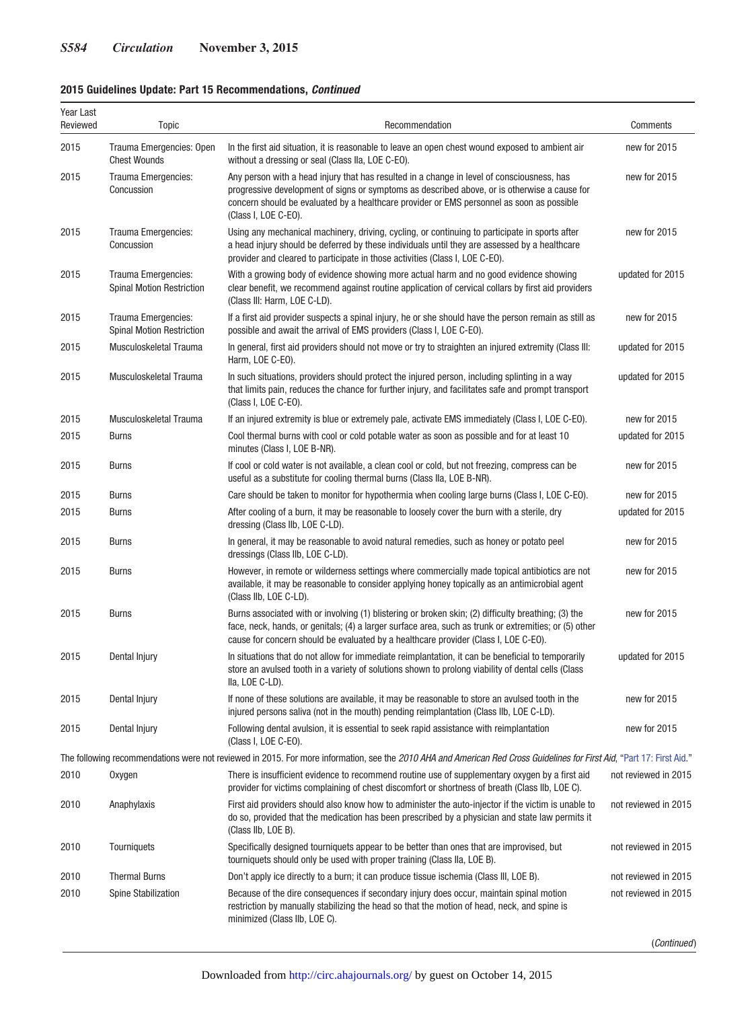## **2015 Guidelines Update: Part 15 Recommendations,** *Continued*

| Year Last<br>Reviewed | <b>Topic</b>                                                                                                                                                           | Recommendation                                                                                                                                                                                                                                                                                                  | Comments             |  |  |  |
|-----------------------|------------------------------------------------------------------------------------------------------------------------------------------------------------------------|-----------------------------------------------------------------------------------------------------------------------------------------------------------------------------------------------------------------------------------------------------------------------------------------------------------------|----------------------|--|--|--|
| 2015                  | Trauma Emergencies: Open<br><b>Chest Wounds</b>                                                                                                                        | In the first aid situation, it is reasonable to leave an open chest wound exposed to ambient air<br>without a dressing or seal (Class IIa, LOE C-EO).                                                                                                                                                           | new for 2015         |  |  |  |
| 2015                  | Trauma Emergencies:<br>Concussion                                                                                                                                      | Any person with a head injury that has resulted in a change in level of consciousness, has<br>progressive development of signs or symptoms as described above, or is otherwise a cause for<br>concern should be evaluated by a healthcare provider or EMS personnel as soon as possible<br>(Class I, LOE C-EO). | new for 2015         |  |  |  |
| 2015                  | Trauma Emergencies:<br>Concussion                                                                                                                                      | Using any mechanical machinery, driving, cycling, or continuing to participate in sports after<br>a head injury should be deferred by these individuals until they are assessed by a healthcare<br>provider and cleared to participate in those activities (Class I, LOE C-EO).                                 | new for 2015         |  |  |  |
| 2015                  | Trauma Emergencies:<br><b>Spinal Motion Restriction</b>                                                                                                                | With a growing body of evidence showing more actual harm and no good evidence showing<br>clear benefit, we recommend against routine application of cervical collars by first aid providers<br>(Class III: Harm, LOE C-LD).                                                                                     | updated for 2015     |  |  |  |
| 2015                  | Trauma Emergencies:<br><b>Spinal Motion Restriction</b>                                                                                                                | If a first aid provider suspects a spinal injury, he or she should have the person remain as still as<br>possible and await the arrival of EMS providers (Class I, LOE C-EO).                                                                                                                                   | new for 2015         |  |  |  |
| 2015                  | Musculoskeletal Trauma                                                                                                                                                 | In general, first aid providers should not move or try to straighten an injured extremity (Class III:<br>Harm, LOE C-EO).                                                                                                                                                                                       | updated for 2015     |  |  |  |
| 2015                  | Musculoskeletal Trauma                                                                                                                                                 | In such situations, providers should protect the injured person, including splinting in a way<br>that limits pain, reduces the chance for further injury, and facilitates safe and prompt transport<br>(Class I, LOE C-EO).                                                                                     | updated for 2015     |  |  |  |
| 2015                  | Musculoskeletal Trauma                                                                                                                                                 | If an injured extremity is blue or extremely pale, activate EMS immediately (Class I, LOE C-EO).                                                                                                                                                                                                                | new for 2015         |  |  |  |
| 2015                  | <b>Burns</b>                                                                                                                                                           | Cool thermal burns with cool or cold potable water as soon as possible and for at least 10<br>minutes (Class I, LOE B-NR).                                                                                                                                                                                      | updated for 2015     |  |  |  |
| 2015                  | <b>Burns</b>                                                                                                                                                           | If cool or cold water is not available, a clean cool or cold, but not freezing, compress can be<br>useful as a substitute for cooling thermal burns (Class IIa, LOE B-NR).                                                                                                                                      | new for 2015         |  |  |  |
| 2015                  | <b>Burns</b>                                                                                                                                                           | Care should be taken to monitor for hypothermia when cooling large burns (Class I, LOE C-EO).                                                                                                                                                                                                                   | new for 2015         |  |  |  |
| 2015                  | <b>Burns</b>                                                                                                                                                           | After cooling of a burn, it may be reasonable to loosely cover the burn with a sterile, dry<br>dressing (Class IIb, LOE C-LD).                                                                                                                                                                                  | updated for 2015     |  |  |  |
| 2015                  | <b>Burns</b>                                                                                                                                                           | In general, it may be reasonable to avoid natural remedies, such as honey or potato peel<br>dressings (Class IIb, LOE C-LD).                                                                                                                                                                                    | new for 2015         |  |  |  |
| 2015                  | <b>Burns</b>                                                                                                                                                           | However, in remote or wilderness settings where commercially made topical antibiotics are not<br>available, it may be reasonable to consider applying honey topically as an antimicrobial agent<br>(Class IIb, LOE C-LD).                                                                                       | new for 2015         |  |  |  |
| 2015                  | <b>Burns</b>                                                                                                                                                           | Burns associated with or involving (1) blistering or broken skin; (2) difficulty breathing; (3) the<br>face, neck, hands, or genitals; (4) a larger surface area, such as trunk or extremities; or (5) other<br>cause for concern should be evaluated by a healthcare provider (Class I, LOE C-EO).             | new for 2015         |  |  |  |
| 2015                  | Dental Injury                                                                                                                                                          | In situations that do not allow for immediate reimplantation, it can be beneficial to temporarily<br>store an avulsed tooth in a variety of solutions shown to prolong viability of dental cells (Class<br>Ila, LOE C-LD).                                                                                      | updated for 2015     |  |  |  |
| 2015                  | Dental Injury                                                                                                                                                          | If none of these solutions are available, it may be reasonable to store an avulsed tooth in the<br>injured persons saliva (not in the mouth) pending reimplantation (Class IIb, LOE C-LD).                                                                                                                      | new for 2015         |  |  |  |
| 2015                  | Dental Injury                                                                                                                                                          | Following dental avulsion, it is essential to seek rapid assistance with reimplantation<br>(Class I, LOE C-EO).                                                                                                                                                                                                 | new for 2015         |  |  |  |
|                       | The following recommendations were not reviewed in 2015. For more information, see the 2010 AHA and American Red Cross Guidelines for First Aid, "Part 17: First Aid." |                                                                                                                                                                                                                                                                                                                 |                      |  |  |  |
| 2010                  | Oxygen                                                                                                                                                                 | There is insufficient evidence to recommend routine use of supplementary oxygen by a first aid<br>provider for victims complaining of chest discomfort or shortness of breath (Class IIb, LOE C).                                                                                                               | not reviewed in 2015 |  |  |  |
| 2010                  | Anaphylaxis                                                                                                                                                            | First aid providers should also know how to administer the auto-injector if the victim is unable to<br>do so, provided that the medication has been prescribed by a physician and state law permits it<br>(Class IIb, LOE B).                                                                                   | not reviewed in 2015 |  |  |  |
| 2010                  | Tourniquets                                                                                                                                                            | Specifically designed tourniquets appear to be better than ones that are improvised, but<br>tourniquets should only be used with proper training (Class IIa, LOE B).                                                                                                                                            | not reviewed in 2015 |  |  |  |
| 2010                  | <b>Thermal Burns</b>                                                                                                                                                   | Don't apply ice directly to a burn; it can produce tissue ischemia (Class III, LOE B).                                                                                                                                                                                                                          | not reviewed in 2015 |  |  |  |
| 2010                  | Spine Stabilization                                                                                                                                                    | Because of the dire consequences if secondary injury does occur, maintain spinal motion<br>restriction by manually stabilizing the head so that the motion of head, neck, and spine is<br>minimized (Class IIb, LOE C).                                                                                         | not reviewed in 2015 |  |  |  |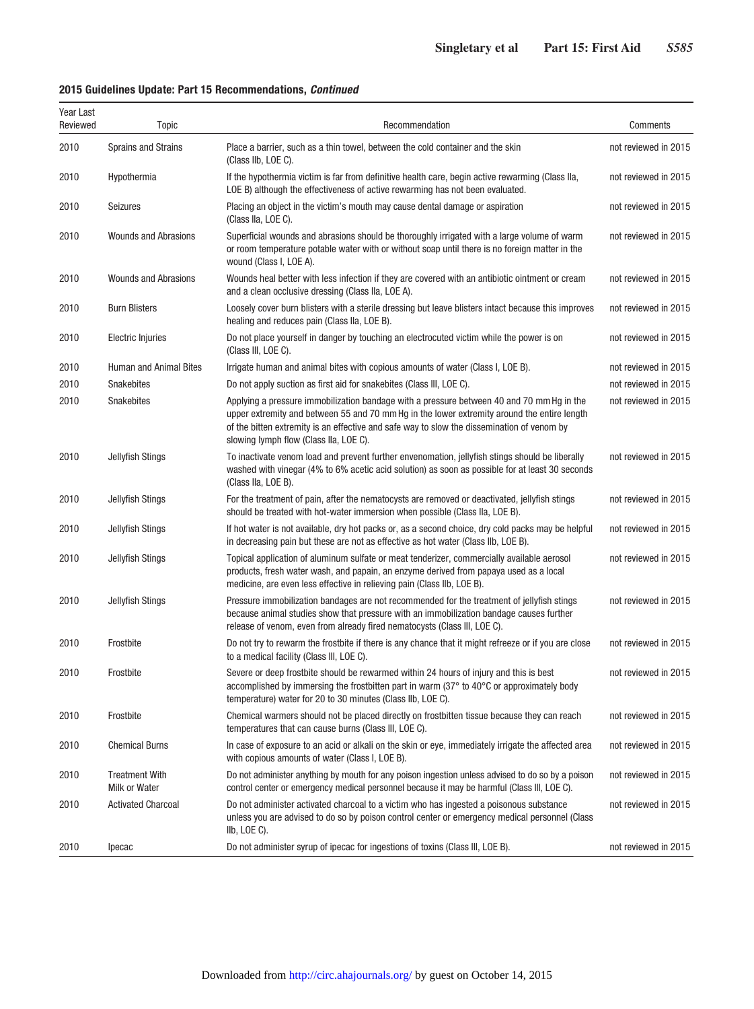## **2015 Guidelines Update: Part 15 Recommendations,** *Continued*

| Year Last<br>Reviewed | Topic                                         | Recommendation                                                                                                                                                                                                                                                                                                                   | Comments             |
|-----------------------|-----------------------------------------------|----------------------------------------------------------------------------------------------------------------------------------------------------------------------------------------------------------------------------------------------------------------------------------------------------------------------------------|----------------------|
| 2010                  | Sprains and Strains                           | Place a barrier, such as a thin towel, between the cold container and the skin<br>(Class IIb, LOE C).                                                                                                                                                                                                                            | not reviewed in 2015 |
| 2010                  | Hypothermia                                   | If the hypothermia victim is far from definitive health care, begin active rewarming (Class IIa,<br>LOE B) although the effectiveness of active rewarming has not been evaluated.                                                                                                                                                | not reviewed in 2015 |
| 2010                  | <b>Seizures</b>                               | Placing an object in the victim's mouth may cause dental damage or aspiration<br>(Class IIa, LOE C).                                                                                                                                                                                                                             | not reviewed in 2015 |
| 2010                  | <b>Wounds and Abrasions</b>                   | Superficial wounds and abrasions should be thoroughly irrigated with a large volume of warm<br>or room temperature potable water with or without soap until there is no foreign matter in the<br>wound (Class I, LOE A).                                                                                                         | not reviewed in 2015 |
| 2010                  | <b>Wounds and Abrasions</b>                   | Wounds heal better with less infection if they are covered with an antibiotic ointment or cream<br>and a clean occlusive dressing (Class IIa, LOE A).                                                                                                                                                                            | not reviewed in 2015 |
| 2010                  | <b>Burn Blisters</b>                          | Loosely cover burn blisters with a sterile dressing but leave blisters intact because this improves<br>healing and reduces pain (Class IIa, LOE B).                                                                                                                                                                              | not reviewed in 2015 |
| 2010                  | <b>Electric Injuries</b>                      | Do not place yourself in danger by touching an electrocuted victim while the power is on<br>(Class III, LOE C).                                                                                                                                                                                                                  | not reviewed in 2015 |
| 2010                  | <b>Human and Animal Bites</b>                 | Irrigate human and animal bites with copious amounts of water (Class I, LOE B).                                                                                                                                                                                                                                                  | not reviewed in 2015 |
| 2010                  | <b>Snakebites</b>                             | Do not apply suction as first aid for snakebites (Class III, LOE C).                                                                                                                                                                                                                                                             | not reviewed in 2015 |
| 2010                  | Snakebites                                    | Applying a pressure immobilization bandage with a pressure between 40 and 70 mm Hg in the<br>upper extremity and between 55 and 70 mm Hq in the lower extremity around the entire length<br>of the bitten extremity is an effective and safe way to slow the dissemination of venom by<br>slowing lymph flow (Class IIa, LOE C). | not reviewed in 2015 |
| 2010                  | Jellyfish Stings                              | To inactivate venom load and prevent further envenomation, jellyfish stings should be liberally<br>washed with vinegar (4% to 6% acetic acid solution) as soon as possible for at least 30 seconds<br>(Class IIa, LOE B).                                                                                                        | not reviewed in 2015 |
| 2010                  | Jellyfish Stings                              | For the treatment of pain, after the nematocysts are removed or deactivated, jellyfish stings<br>should be treated with hot-water immersion when possible (Class IIa, LOE B).                                                                                                                                                    | not reviewed in 2015 |
| 2010                  | Jellyfish Stings                              | If hot water is not available, dry hot packs or, as a second choice, dry cold packs may be helpful<br>in decreasing pain but these are not as effective as hot water (Class IIb, LOE B).                                                                                                                                         | not reviewed in 2015 |
| 2010                  | Jellyfish Stings                              | Topical application of aluminum sulfate or meat tenderizer, commercially available aerosol<br>products, fresh water wash, and papain, an enzyme derived from papaya used as a local<br>medicine, are even less effective in relieving pain (Class IIb, LOE B).                                                                   | not reviewed in 2015 |
| 2010                  | Jellyfish Stings                              | Pressure immobilization bandages are not recommended for the treatment of jellyfish stings<br>because animal studies show that pressure with an immobilization bandage causes further<br>release of venom, even from already fired nematocysts (Class III, LOE C).                                                               | not reviewed in 2015 |
| 2010                  | Frostbite                                     | Do not try to rewarm the frostbite if there is any chance that it might refreeze or if you are close<br>to a medical facility (Class III, LOE C).                                                                                                                                                                                | not reviewed in 2015 |
| 2010                  | Frostbite                                     | Severe or deep frostbite should be rewarmed within 24 hours of injury and this is best<br>accomplished by immersing the frostbitten part in warm $(37^{\circ}$ to 40 $^{\circ}$ C or approximately body<br>temperature) water for 20 to 30 minutes (Class IIb, LOE C).                                                           | not reviewed in 2015 |
| 2010                  | Frostbite                                     | Chemical warmers should not be placed directly on frostbitten tissue because they can reach<br>temperatures that can cause burns (Class III, LOE C).                                                                                                                                                                             | not reviewed in 2015 |
| 2010                  | <b>Chemical Burns</b>                         | In case of exposure to an acid or alkali on the skin or eye, immediately irrigate the affected area<br>with copious amounts of water (Class I, LOE B).                                                                                                                                                                           | not reviewed in 2015 |
| 2010                  | <b>Treatment With</b><br><b>Milk or Water</b> | Do not administer anything by mouth for any poison ingestion unless advised to do so by a poison<br>control center or emergency medical personnel because it may be harmful (Class III, LOE C).                                                                                                                                  | not reviewed in 2015 |
| 2010                  | <b>Activated Charcoal</b>                     | Do not administer activated charcoal to a victim who has ingested a poisonous substance<br>unless you are advised to do so by poison control center or emergency medical personnel (Class<br>IIb, LOE C).                                                                                                                        | not reviewed in 2015 |
| 2010                  | Ipecac                                        | Do not administer syrup of ipecac for ingestions of toxins (Class III, LOE B).                                                                                                                                                                                                                                                   | not reviewed in 2015 |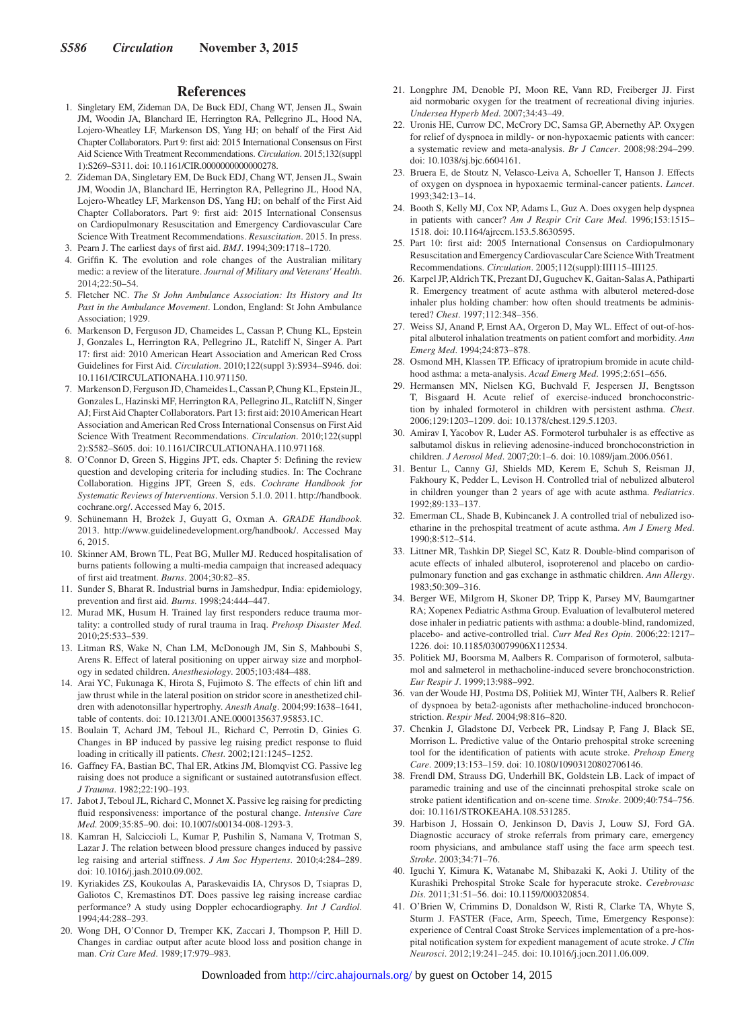#### **References**

- 1. Singletary EM, Zideman DA, De Buck EDJ, Chang WT, Jensen JL, Swain JM, Woodin JA, Blanchard IE, Herrington RA, Pellegrino JL, Hood NA, Lojero-Wheatley LF, Markenson DS, Yang HJ; on behalf of the First Aid Chapter Collaborators. Part 9: first aid: 2015 International Consensus on First Aid Science With Treatment Recommendations. *Circulation*. 2015;132(suppl 1):S269–S311. doi: 10.1161/CIR.0000000000000278.
- 2. Zideman DA, Singletary EM, De Buck EDJ, Chang WT, Jensen JL, Swain JM, Woodin JA, Blanchard IE, Herrington RA, Pellegrino JL, Hood NA, Lojero-Wheatley LF, Markenson DS, Yang HJ; on behalf of the First Aid Chapter Collaborators. Part 9: first aid: 2015 International Consensus on Cardiopulmonary Resuscitation and Emergency Cardiovascular Care Science With Treatment Recommendations. *Resuscitation*. 2015. In press.
- 3. Pearn J. The earliest days of first aid. *BMJ*. 1994;309:1718–1720.
- 4. Griffin K. The evolution and role changes of the Australian military medic: a review of the literature. *Journal of Military and Veterans' Health*. 2014;22:50**–**54.
- 5. Fletcher NC. *The St John Ambulance Association: Its History and Its Past in the Ambulance Movement*. London, England: St John Ambulance Association; 1929.
- 6. Markenson D, Ferguson JD, Chameides L, Cassan P, Chung KL, Epstein J, Gonzales L, Herrington RA, Pellegrino JL, Ratcliff N, Singer A. Part 17: first aid: 2010 American Heart Association and American Red Cross Guidelines for First Aid. *Circulation*. 2010;122(suppl 3):S934–S946. doi: 10.1161/CIRCULATIONAHA.110.971150.
- 7. Markenson D, Ferguson JD, Chameides L, Cassan P, Chung KL, Epstein JL, Gonzales L, Hazinski MF, Herrington RA, Pellegrino JL, Ratcliff N, Singer AJ; First Aid Chapter Collaborators. Part 13: first aid: 2010 American Heart Association and American Red Cross International Consensus on First Aid Science With Treatment Recommendations. *Circulation*. 2010;122(suppl 2):S582–S605. doi: 10.1161/CIRCULATIONAHA.110.971168.
- 8. O'Connor D, Green S, Higgins JPT, eds. Chapter 5: Defining the review question and developing criteria for including studies. In: The Cochrane Collaboration. Higgins JPT, Green S, eds. *Cochrane Handbook for Systematic Reviews of Interventions*. Version 5.1.0. 2011. [http://handbook.](https://www.handbook.cochrane.org/) [cochrane.org/](https://www.handbook.cochrane.org/). Accessed May 6, 2015.
- 9. Schünemann H, Brożek J, Guyatt G, Oxman A. *GRADE Handbook*. 2013. [http://www.guidelinedevelopment.org/handbook/.](https://www.guidelinedevelopment.org/handbook/) Accessed May 6, 2015.
- 10. Skinner AM, Brown TL, Peat BG, Muller MJ. Reduced hospitalisation of burns patients following a multi-media campaign that increased adequacy of first aid treatment. *Burns*. 2004;30:82–85.
- 11. Sunder S, Bharat R. Industrial burns in Jamshedpur, India: epidemiology, prevention and first aid. *Burns*. 1998;24:444–447.
- 12. Murad MK, Husum H. Trained lay first responders reduce trauma mortality: a controlled study of rural trauma in Iraq. *Prehosp Disaster Med*. 2010;25:533–539.
- 13. Litman RS, Wake N, Chan LM, McDonough JM, Sin S, Mahboubi S, Arens R. Effect of lateral positioning on upper airway size and morphology in sedated children. *Anesthesiology*. 2005;103:484–488.
- 14. Arai YC, Fukunaga K, Hirota S, Fujimoto S. The effects of chin lift and jaw thrust while in the lateral position on stridor score in anesthetized children with adenotonsillar hypertrophy. *Anesth Analg*. 2004;99:1638–1641, table of contents. doi: 10.1213/01.ANE.0000135637.95853.1C.
- 15. Boulain T, Achard JM, Teboul JL, Richard C, Perrotin D, Ginies G. Changes in BP induced by passive leg raising predict response to fluid loading in critically ill patients. *Chest*. 2002;121:1245–1252.
- 16. Gaffney FA, Bastian BC, Thal ER, Atkins JM, Blomqvist CG. Passive leg raising does not produce a significant or sustained autotransfusion effect. *J Trauma*. 1982;22:190–193.
- 17. Jabot J, Teboul JL, Richard C, Monnet X. Passive leg raising for predicting fluid responsiveness: importance of the postural change. *Intensive Care Med*. 2009;35:85–90. doi: 10.1007/s00134-008-1293-3.
- 18. Kamran H, Salciccioli L, Kumar P, Pushilin S, Namana V, Trotman S, Lazar J. The relation between blood pressure changes induced by passive leg raising and arterial stiffness. *J Am Soc Hypertens*. 2010;4:284–289. doi: 10.1016/j.jash.2010.09.002.
- 19. Kyriakides ZS, Koukoulas A, Paraskevaidis IA, Chrysos D, Tsiapras D, Galiotos C, Kremastinos DT. Does passive leg raising increase cardiac performance? A study using Doppler echocardiography. *Int J Cardiol*. 1994;44:288–293.
- 20. Wong DH, O'Connor D, Tremper KK, Zaccari J, Thompson P, Hill D. Changes in cardiac output after acute blood loss and position change in man. *Crit Care Med*. 1989;17:979–983.
- 21. Longphre JM, Denoble PJ, Moon RE, Vann RD, Freiberger JJ. First aid normobaric oxygen for the treatment of recreational diving injuries. *Undersea Hyperb Med*. 2007;34:43–49.
- 22. Uronis HE, Currow DC, McCrory DC, Samsa GP, Abernethy AP. Oxygen for relief of dyspnoea in mildly- or non-hypoxaemic patients with cancer: a systematic review and meta-analysis. *Br J Cancer*. 2008;98:294–299. doi: 10.1038/sj.bjc.6604161.
- 23. Bruera E, de Stoutz N, Velasco-Leiva A, Schoeller T, Hanson J. Effects of oxygen on dyspnoea in hypoxaemic terminal-cancer patients. *Lancet*. 1993;342:13–14.
- 24. Booth S, Kelly MJ, Cox NP, Adams L, Guz A. Does oxygen help dyspnea in patients with cancer? *Am J Respir Crit Care Med*. 1996;153:1515– 1518. doi: 10.1164/ajrccm.153.5.8630595.
- 25. Part 10: first aid: 2005 International Consensus on Cardiopulmonary Resuscitation and Emergency Cardiovascular Care Science With Treatment Recommendations. *Circulation*. 2005;112(suppl**)**:III115–III125.
- 26. Karpel JP, Aldrich TK, Prezant DJ, Guguchev K, Gaitan-Salas A, Pathiparti R. Emergency treatment of acute asthma with albuterol metered-dose inhaler plus holding chamber: how often should treatments be administered? *Chest*. 1997;112:348–356.
- 27. Weiss SJ, Anand P, Ernst AA, Orgeron D, May WL. Effect of out-of-hospital albuterol inhalation treatments on patient comfort and morbidity. *Ann Emerg Med*. 1994;24:873–878.
- 28. Osmond MH, Klassen TP. Efficacy of ipratropium bromide in acute childhood asthma: a meta-analysis. *Acad Emerg Med*. 1995;2:651–656.
- 29. Hermansen MN, Nielsen KG, Buchvald F, Jespersen JJ, Bengtsson T, Bisgaard H. Acute relief of exercise-induced bronchoconstriction by inhaled formoterol in children with persistent asthma. *Chest*. 2006;129:1203–1209. doi: 10.1378/chest.129.5.1203.
- 30. Amirav I, Yacobov R, Luder AS. Formoterol turbuhaler is as effective as salbutamol diskus in relieving adenosine-induced bronchoconstriction in children. *J Aerosol Med*. 2007;20:1–6. doi: 10.1089/jam.2006.0561.
- 31. Bentur L, Canny GJ, Shields MD, Kerem E, Schuh S, Reisman JJ, Fakhoury K, Pedder L, Levison H. Controlled trial of nebulized albuterol in children younger than 2 years of age with acute asthma. *Pediatrics*. 1992;89:133–137.
- 32. Emerman CL, Shade B, Kubincanek J. A controlled trial of nebulized isoetharine in the prehospital treatment of acute asthma. *Am J Emerg Med*. 1990;8:512–514.
- 33. Littner MR, Tashkin DP, Siegel SC, Katz R. Double-blind comparison of acute effects of inhaled albuterol, isoproterenol and placebo on cardiopulmonary function and gas exchange in asthmatic children. *Ann Allergy*. 1983;50:309–316.
- 34. Berger WE, Milgrom H, Skoner DP, Tripp K, Parsey MV, Baumgartner RA; Xopenex Pediatric Asthma Group. Evaluation of levalbuterol metered dose inhaler in pediatric patients with asthma: a double-blind, randomized, placebo- and active-controlled trial. *Curr Med Res Opin*. 2006;22:1217– 1226. doi: 10.1185/030079906X112534.
- 35. Politiek MJ, Boorsma M, Aalbers R. Comparison of formoterol, salbutamol and salmeterol in methacholine-induced severe bronchoconstriction. *Eur Respir J*. 1999;13:988–992.
- 36. van der Woude HJ, Postma DS, Politiek MJ, Winter TH, Aalbers R. Relief of dyspnoea by beta2-agonists after methacholine-induced bronchoconstriction. *Respir Med*. 2004;98:816–820.
- 37. Chenkin J, Gladstone DJ, Verbeek PR, Lindsay P, Fang J, Black SE, Morrison L. Predictive value of the Ontario prehospital stroke screening tool for the identification of patients with acute stroke. *Prehosp Emerg Care*. 2009;13:153–159. doi: 10.1080/10903120802706146.
- 38. Frendl DM, Strauss DG, Underhill BK, Goldstein LB. Lack of impact of paramedic training and use of the cincinnati prehospital stroke scale on stroke patient identification and on-scene time. *Stroke*. 2009;40:754–756. doi: 10.1161/STROKEAHA.108.531285.
- 39. Harbison J, Hossain O, Jenkinson D, Davis J, Louw SJ, Ford GA. Diagnostic accuracy of stroke referrals from primary care, emergency room physicians, and ambulance staff using the face arm speech test. *Stroke*. 2003;34:71–76.
- 40. Iguchi Y, Kimura K, Watanabe M, Shibazaki K, Aoki J. Utility of the Kurashiki Prehospital Stroke Scale for hyperacute stroke. *Cerebrovasc Dis*. 2011;31:51–56. doi: 10.1159/000320854.
- 41. O'Brien W, Crimmins D, Donaldson W, Risti R, Clarke TA, Whyte S, Sturm J. FASTER (Face, Arm, Speech, Time, Emergency Response): experience of Central Coast Stroke Services implementation of a pre-hospital notification system for expedient management of acute stroke. *J Clin Neurosci*. 2012;19:241–245. doi: 10.1016/j.jocn.2011.06.009.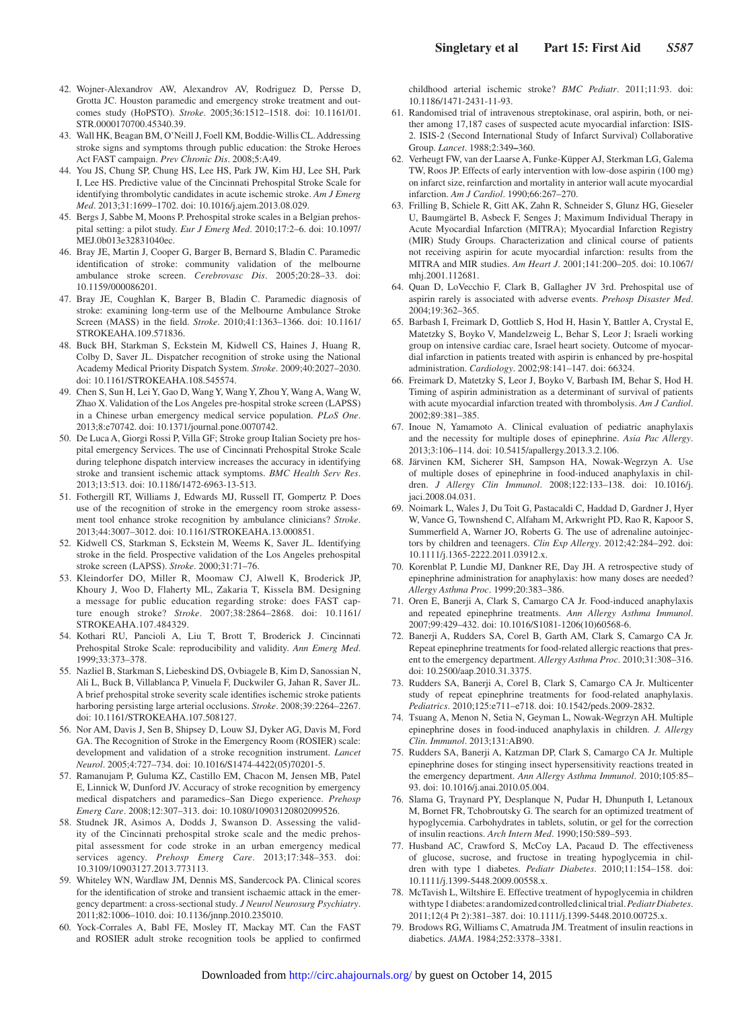- 42. Wojner-Alexandrov AW, Alexandrov AV, Rodriguez D, Persse D, Grotta JC. Houston paramedic and emergency stroke treatment and outcomes study (HoPSTO). *Stroke*. 2005;36:1512–1518. doi: 10.1161/01. STR.0000170700.45340.39.
- 43. Wall HK, Beagan BM, O'Neill J, Foell KM, Boddie-Willis CL. Addressing stroke signs and symptoms through public education: the Stroke Heroes Act FAST campaign. *Prev Chronic Dis*. 2008;5:A49.
- 44. You JS, Chung SP, Chung HS, Lee HS, Park JW, Kim HJ, Lee SH, Park I, Lee HS. Predictive value of the Cincinnati Prehospital Stroke Scale for identifying thrombolytic candidates in acute ischemic stroke. *Am J Emerg Med*. 2013;31:1699–1702. doi: 10.1016/j.ajem.2013.08.029.
- 45. Bergs J, Sabbe M, Moons P. Prehospital stroke scales in a Belgian prehospital setting: a pilot study. *Eur J Emerg Med*. 2010;17:2–6. doi: 10.1097/ MEJ.0b013e32831040ec.
- 46. Bray JE, Martin J, Cooper G, Barger B, Bernard S, Bladin C. Paramedic identification of stroke: community validation of the melbourne ambulance stroke screen. *Cerebrovasc Dis*. 2005;20:28–33. doi: 10.1159/000086201.
- 47. Bray JE, Coughlan K, Barger B, Bladin C. Paramedic diagnosis of stroke: examining long-term use of the Melbourne Ambulance Stroke Screen (MASS) in the field. *Stroke*. 2010;41:1363–1366. doi: 10.1161/ STROKEAHA.109.571836.
- 48. Buck BH, Starkman S, Eckstein M, Kidwell CS, Haines J, Huang R, Colby D, Saver JL. Dispatcher recognition of stroke using the National Academy Medical Priority Dispatch System. *Stroke*. 2009;40:2027–2030. doi: 10.1161/STROKEAHA.108.545574.
- 49. Chen S, Sun H, Lei Y, Gao D, Wang Y, Wang Y, Zhou Y, Wang A, Wang W, Zhao X. Validation of the Los Angeles pre-hospital stroke screen (LAPSS) in a Chinese urban emergency medical service population. *PLoS One*. 2013;8:e70742. doi: 10.1371/journal.pone.0070742.
- 50. De Luca A, Giorgi Rossi P, Villa GF; Stroke group Italian Society pre hospital emergency Services. The use of Cincinnati Prehospital Stroke Scale during telephone dispatch interview increases the accuracy in identifying stroke and transient ischemic attack symptoms. *BMC Health Serv Res*. 2013;13:513. doi: 10.1186/1472-6963-13-513.
- 51. Fothergill RT, Williams J, Edwards MJ, Russell IT, Gompertz P. Does use of the recognition of stroke in the emergency room stroke assessment tool enhance stroke recognition by ambulance clinicians? *Stroke*. 2013;44:3007–3012. doi: 10.1161/STROKEAHA.13.000851.
- 52. Kidwell CS, Starkman S, Eckstein M, Weems K, Saver JL. Identifying stroke in the field. Prospective validation of the Los Angeles prehospital stroke screen (LAPSS). *Stroke*. 2000;31:71–76.
- 53. Kleindorfer DO, Miller R, Moomaw CJ, Alwell K, Broderick JP, Khoury J, Woo D, Flaherty ML, Zakaria T, Kissela BM. Designing a message for public education regarding stroke: does FAST capture enough stroke? *Stroke*. 2007;38:2864–2868. doi: 10.1161/ STROKEAHA.107.484329.
- 54. Kothari RU, Pancioli A, Liu T, Brott T, Broderick J. Cincinnati Prehospital Stroke Scale: reproducibility and validity. *Ann Emerg Med*. 1999;33:373–378.
- 55. Nazliel B, Starkman S, Liebeskind DS, Ovbiagele B, Kim D, Sanossian N, Ali L, Buck B, Villablanca P, Vinuela F, Duckwiler G, Jahan R, Saver JL. A brief prehospital stroke severity scale identifies ischemic stroke patients harboring persisting large arterial occlusions. *Stroke*. 2008;39:2264–2267. doi: 10.1161/STROKEAHA.107.508127.
- 56. Nor AM, Davis J, Sen B, Shipsey D, Louw SJ, Dyker AG, Davis M, Ford GA. The Recognition of Stroke in the Emergency Room (ROSIER) scale: development and validation of a stroke recognition instrument. *Lancet Neurol*. 2005;4:727–734. doi: 10.1016/S1474-4422(05)70201-5.
- 57. Ramanujam P, Guluma KZ, Castillo EM, Chacon M, Jensen MB, Patel E, Linnick W, Dunford JV. Accuracy of stroke recognition by emergency medical dispatchers and paramedics–San Diego experience. *Prehosp Emerg Care*. 2008;12:307–313. doi: 10.1080/10903120802099526.
- 58. Studnek JR, Asimos A, Dodds J, Swanson D. Assessing the validity of the Cincinnati prehospital stroke scale and the medic prehospital assessment for code stroke in an urban emergency medical services agency. *Prehosp Emerg Care*. 2013;17:348–353. doi: 10.3109/10903127.2013.773113.
- 59. Whiteley WN, Wardlaw JM, Dennis MS, Sandercock PA. Clinical scores for the identification of stroke and transient ischaemic attack in the emergency department: a cross-sectional study. *J Neurol Neurosurg Psychiatry*. 2011;82:1006–1010. doi: 10.1136/jnnp.2010.235010.
- Yock-Corrales A, Babl FE, Mosley IT, Mackay MT. Can the FAST and ROSIER adult stroke recognition tools be applied to confirmed

childhood arterial ischemic stroke? *BMC Pediatr*. 2011;11:93. doi: 10.1186/1471-2431-11-93.

- 61. Randomised trial of intravenous streptokinase, oral aspirin, both, or neither among 17,187 cases of suspected acute myocardial infarction: ISIS-2. ISIS-2 (Second International Study of Infarct Survival) Collaborative Group. *Lancet*. 1988;2:349**–**360.
- 62. Verheugt FW, van der Laarse A, Funke-Küpper AJ, Sterkman LG, Galema TW, Roos JP. Effects of early intervention with low-dose aspirin (100 mg) on infarct size, reinfarction and mortality in anterior wall acute myocardial infarction. *Am J Cardiol*. 1990;66:267–270.
- 63. Frilling B, Schiele R, Gitt AK, Zahn R, Schneider S, Glunz HG, Gieseler U, Baumgärtel B, Asbeck F, Senges J; Maximum Individual Therapy in Acute Myocardial Infarction (MITRA); Myocardial Infarction Registry (MIR) Study Groups. Characterization and clinical course of patients not receiving aspirin for acute myocardial infarction: results from the MITRA and MIR studies. *Am Heart J*. 2001;141:200–205. doi: 10.1067/ mhj.2001.112681.
- 64. Quan D, LoVecchio F, Clark B, Gallagher JV 3rd. Prehospital use of aspirin rarely is associated with adverse events. *Prehosp Disaster Med*. 2004;19:362–365.
- 65. Barbash I, Freimark D, Gottlieb S, Hod H, Hasin Y, Battler A, Crystal E, Matetzky S, Boyko V, Mandelzweig L, Behar S, Leor J; Israeli working group on intensive cardiac care, Israel heart society. Outcome of myocardial infarction in patients treated with aspirin is enhanced by pre-hospital administration. *Cardiology*. 2002;98:141–147. doi: 66324.
- 66. Freimark D, Matetzky S, Leor J, Boyko V, Barbash IM, Behar S, Hod H. Timing of aspirin administration as a determinant of survival of patients with acute myocardial infarction treated with thrombolysis. *Am J Cardiol*. 2002;89:381–385.
- 67. Inoue N, Yamamoto A. Clinical evaluation of pediatric anaphylaxis and the necessity for multiple doses of epinephrine. *Asia Pac Allergy*. 2013;3:106–114. doi: 10.5415/apallergy.2013.3.2.106.
- 68. Järvinen KM, Sicherer SH, Sampson HA, Nowak-Wegrzyn A. Use of multiple doses of epinephrine in food-induced anaphylaxis in children. *J Allergy Clin Immunol*. 2008;122:133–138. doi: 10.1016/j. jaci.2008.04.031.
- 69. Noimark L, Wales J, Du Toit G, Pastacaldi C, Haddad D, Gardner J, Hyer W, Vance G, Townshend C, Alfaham M, Arkwright PD, Rao R, Kapoor S, Summerfield A, Warner JO, Roberts G. The use of adrenaline autoinjectors by children and teenagers. *Clin Exp Allergy*. 2012;42:284–292. doi: 10.1111/j.1365-2222.2011.03912.x.
- 70. Korenblat P, Lundie MJ, Dankner RE, Day JH. A retrospective study of epinephrine administration for anaphylaxis: how many doses are needed? *Allergy Asthma Proc*. 1999;20:383–386.
- 71. Oren E, Banerji A, Clark S, Camargo CA Jr. Food-induced anaphylaxis and repeated epinephrine treatments. *Ann Allergy Asthma Immunol*. 2007;99:429–432. doi: 10.1016/S1081-1206(10)60568-6.
- 72. Banerji A, Rudders SA, Corel B, Garth AM, Clark S, Camargo CA Jr. Repeat epinephrine treatments for food-related allergic reactions that present to the emergency department. *Allergy Asthma Proc*. 2010;31:308–316. doi: 10.2500/aap.2010.31.3375.
- 73. Rudders SA, Banerji A, Corel B, Clark S, Camargo CA Jr. Multicenter study of repeat epinephrine treatments for food-related anaphylaxis. *Pediatrics*. 2010;125:e711–e718. doi: 10.1542/peds.2009-2832.
- 74. Tsuang A, Menon N, Setia N, Geyman L, Nowak-Wegrzyn AH. Multiple epinephrine doses in food-induced anaphylaxis in children. *J. Allergy Clin. Immunol*. 2013;131:AB90.
- 75. Rudders SA, Banerji A, Katzman DP, Clark S, Camargo CA Jr. Multiple epinephrine doses for stinging insect hypersensitivity reactions treated in the emergency department. *Ann Allergy Asthma Immunol*. 2010;105:85– 93. doi: 10.1016/j.anai.2010.05.004.
- 76. Slama G, Traynard PY, Desplanque N, Pudar H, Dhunputh I, Letanoux M, Bornet FR, Tchobroutsky G. The search for an optimized treatment of hypoglycemia. Carbohydrates in tablets, solutin, or gel for the correction of insulin reactions. *Arch Intern Med*. 1990;150:589–593.
- 77. Husband AC, Crawford S, McCoy LA, Pacaud D. The effectiveness of glucose, sucrose, and fructose in treating hypoglycemia in children with type 1 diabetes. *Pediatr Diabetes*. 2010;11:154–158. doi: 10.1111/j.1399-5448.2009.00558.x.
- 78. McTavish L, Wiltshire E. Effective treatment of hypoglycemia in children with type 1 diabetes: a randomized controlled clinical trial. *Pediatr Diabetes*. 2011;12(4 Pt 2):381–387. doi: 10.1111/j.1399-5448.2010.00725.x.
- 79. Brodows RG, Williams C, Amatruda JM. Treatment of insulin reactions in diabetics. *JAMA*. 1984;252:3378–3381.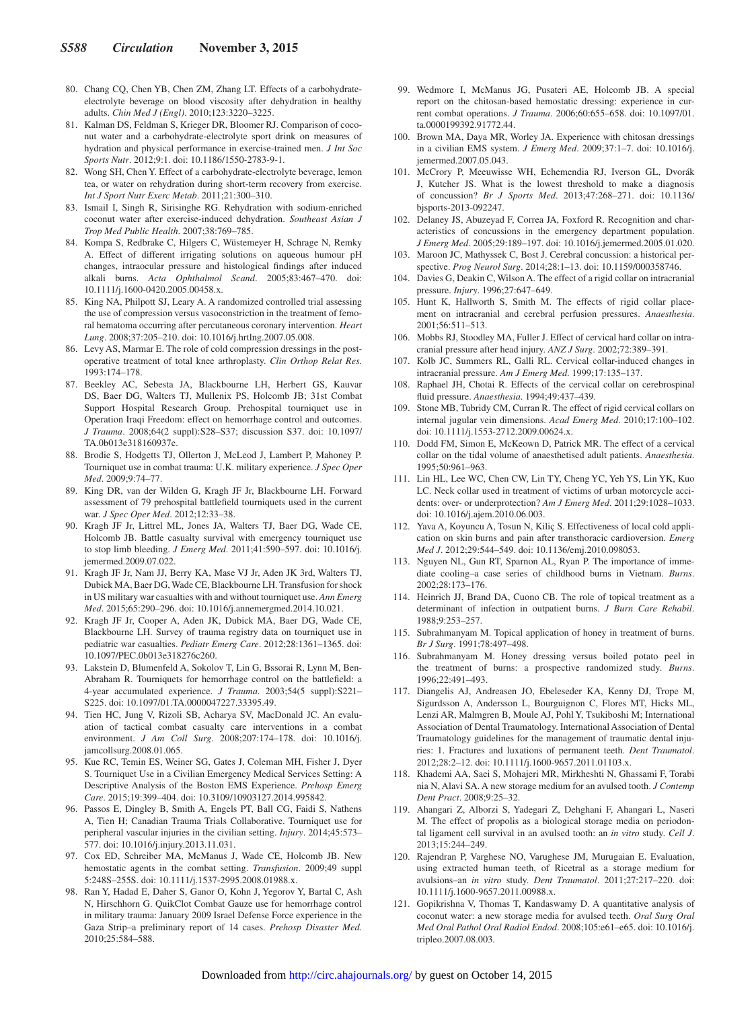- 80. Chang CQ, Chen YB, Chen ZM, Zhang LT. Effects of a carbohydrateelectrolyte beverage on blood viscosity after dehydration in healthy adults. *Chin Med J (Engl)*. 2010;123:3220–3225.
- 81. Kalman DS, Feldman S, Krieger DR, Bloomer RJ. Comparison of coconut water and a carbohydrate-electrolyte sport drink on measures of hydration and physical performance in exercise-trained men. *J Int Soc Sports Nutr*. 2012;9:1. doi: 10.1186/1550-2783-9-1.
- 82. Wong SH, Chen Y. Effect of a carbohydrate-electrolyte beverage, lemon tea, or water on rehydration during short-term recovery from exercise. *Int J Sport Nutr Exerc Metab*. 2011;21:300–310.
- 83. Ismail I, Singh R, Sirisinghe RG. Rehydration with sodium-enriched coconut water after exercise-induced dehydration. *Southeast Asian J Trop Med Public Health*. 2007;38:769–785.
- 84. Kompa S, Redbrake C, Hilgers C, Wüstemeyer H, Schrage N, Remky A. Effect of different irrigating solutions on aqueous humour pH changes, intraocular pressure and histological findings after induced alkali burns. *Acta Ophthalmol Scand*. 2005;83:467–470. doi: 10.1111/j.1600-0420.2005.00458.x.
- 85. King NA, Philpott SJ, Leary A. A randomized controlled trial assessing the use of compression versus vasoconstriction in the treatment of femoral hematoma occurring after percutaneous coronary intervention. *Heart Lung*. 2008;37:205–210. doi: 10.1016/j.hrtlng.2007.05.008.
- 86. Levy AS, Marmar E. The role of cold compression dressings in the postoperative treatment of total knee arthroplasty. *Clin Orthop Relat Res*. 1993:174–178.
- 87. Beekley AC, Sebesta JA, Blackbourne LH, Herbert GS, Kauvar DS, Baer DG, Walters TJ, Mullenix PS, Holcomb JB; 31st Combat Support Hospital Research Group. Prehospital tourniquet use in Operation Iraqi Freedom: effect on hemorrhage control and outcomes. *J Trauma*. 2008;64(2 suppl):S28–S37; discussion S37. doi: 10.1097/ TA.0b013e318160937e.
- 88. Brodie S, Hodgetts TJ, Ollerton J, McLeod J, Lambert P, Mahoney P. Tourniquet use in combat trauma: U.K. military experience. *J Spec Oper Med*. 2009;9:74–77.
- 89. King DR, van der Wilden G, Kragh JF Jr, Blackbourne LH. Forward assessment of 79 prehospital battlefield tourniquets used in the current war. *J Spec Oper Med*. 2012;12:33–38.
- 90. Kragh JF Jr, Littrel ML, Jones JA, Walters TJ, Baer DG, Wade CE, Holcomb JB. Battle casualty survival with emergency tourniquet use to stop limb bleeding. *J Emerg Med*. 2011;41:590–597. doi: 10.1016/j. jemermed.2009.07.022.
- 91. Kragh JF Jr, Nam JJ, Berry KA, Mase VJ Jr, Aden JK 3rd, Walters TJ, Dubick MA, Baer DG, Wade CE, Blackbourne LH. Transfusion for shock in US military war casualties with and without tourniquet use. *Ann Emerg Med*. 2015;65:290–296. doi: 10.1016/j.annemergmed.2014.10.021.
- 92. Kragh JF Jr, Cooper A, Aden JK, Dubick MA, Baer DG, Wade CE, Blackbourne LH. Survey of trauma registry data on tourniquet use in pediatric war casualties. *Pediatr Emerg Care*. 2012;28:1361–1365. doi: 10.1097/PEC.0b013e318276c260.
- 93. Lakstein D, Blumenfeld A, Sokolov T, Lin G, Bssorai R, Lynn M, Ben-Abraham R. Tourniquets for hemorrhage control on the battlefield: a 4-year accumulated experience. *J Trauma*. 2003;54(5 suppl):S221– S225. doi: 10.1097/01.TA.0000047227.33395.49.
- 94. Tien HC, Jung V, Rizoli SB, Acharya SV, MacDonald JC. An evaluation of tactical combat casualty care interventions in a combat environment. *J Am Coll Surg*. 2008;207:174–178. doi: 10.1016/j. jamcollsurg.2008.01.065.
- 95. Kue RC, Temin ES, Weiner SG, Gates J, Coleman MH, Fisher J, Dyer S. Tourniquet Use in a Civilian Emergency Medical Services Setting: A Descriptive Analysis of the Boston EMS Experience. *Prehosp Emerg Care*. 2015;19:399–404. doi: 10.3109/10903127.2014.995842.
- 96. Passos E, Dingley B, Smith A, Engels PT, Ball CG, Faidi S, Nathens A, Tien H; Canadian Trauma Trials Collaborative. Tourniquet use for peripheral vascular injuries in the civilian setting. *Injury*. 2014;45:573– 577. doi: 10.1016/j.injury.2013.11.031.
- 97. Cox ED, Schreiber MA, McManus J, Wade CE, Holcomb JB. New hemostatic agents in the combat setting. *Transfusion*. 2009;49 suppl 5:248S–255S. doi: 10.1111/j.1537-2995.2008.01988.x.
- 98. Ran Y, Hadad E, Daher S, Ganor O, Kohn J, Yegorov Y, Bartal C, Ash N, Hirschhorn G. QuikClot Combat Gauze use for hemorrhage control in military trauma: January 2009 Israel Defense Force experience in the Gaza Strip–a preliminary report of 14 cases. *Prehosp Disaster Med*. 2010;25:584–588.
- 99. Wedmore I, McManus JG, Pusateri AE, Holcomb JB. A special report on the chitosan-based hemostatic dressing: experience in current combat operations. *J Trauma*. 2006;60:655–658. doi: 10.1097/01. ta.0000199392.91772.44.
- 100. Brown MA, Daya MR, Worley JA. Experience with chitosan dressings in a civilian EMS system. *J Emerg Med*. 2009;37:1–7. doi: 10.1016/j. jemermed.2007.05.043.
- 101. McCrory P, Meeuwisse WH, Echemendia RJ, Iverson GL, Dvorák J, Kutcher JS. What is the lowest threshold to make a diagnosis of concussion? *Br J Sports Med*. 2013;47:268–271. doi: 10.1136/ bjsports-2013-092247.
- 102. Delaney JS, Abuzeyad F, Correa JA, Foxford R. Recognition and characteristics of concussions in the emergency department population. *J Emerg Med*. 2005;29:189–197. doi: 10.1016/j.jemermed.2005.01.020.
- 103. Maroon JC, Mathyssek C, Bost J. Cerebral concussion: a historical perspective. *Prog Neurol Surg*. 2014;28:1–13. doi: 10.1159/000358746.
- 104. Davies G, Deakin C, Wilson A. The effect of a rigid collar on intracranial pressure. *Injury*. 1996;27:647–649.
- 105. Hunt K, Hallworth S, Smith M. The effects of rigid collar placement on intracranial and cerebral perfusion pressures. *Anaesthesia*. 2001;56:511–513.
- 106. Mobbs RJ, Stoodley MA, Fuller J. Effect of cervical hard collar on intracranial pressure after head injury. *ANZ J Surg*. 2002;72:389–391.
- 107. Kolb JC, Summers RL, Galli RL. Cervical collar-induced changes in intracranial pressure. *Am J Emerg Med*. 1999;17:135–137.
- 108. Raphael JH, Chotai R. Effects of the cervical collar on cerebrospinal fluid pressure. *Anaesthesia*. 1994;49:437–439.
- 109. Stone MB, Tubridy CM, Curran R. The effect of rigid cervical collars on internal jugular vein dimensions. *Acad Emerg Med*. 2010;17:100–102. doi: 10.1111/j.1553-2712.2009.00624.x.
- 110. Dodd FM, Simon E, McKeown D, Patrick MR. The effect of a cervical collar on the tidal volume of anaesthetised adult patients. *Anaesthesia*. 1995;50:961–963.
- 111. Lin HL, Lee WC, Chen CW, Lin TY, Cheng YC, Yeh YS, Lin YK, Kuo LC. Neck collar used in treatment of victims of urban motorcycle accidents: over- or underprotection? *Am J Emerg Med*. 2011;29:1028–1033. doi: 10.1016/j.ajem.2010.06.003.
- 112. Yava A, Koyuncu A, Tosun N, Kiliç S. Effectiveness of local cold application on skin burns and pain after transthoracic cardioversion. *Emerg Med J*. 2012;29:544–549. doi: 10.1136/emj.2010.098053.
- 113. Nguyen NL, Gun RT, Sparnon AL, Ryan P. The importance of immediate cooling–a case series of childhood burns in Vietnam. *Burns*. 2002;28:173–176.
- 114. Heinrich JJ, Brand DA, Cuono CB. The role of topical treatment as a determinant of infection in outpatient burns. *J Burn Care Rehabil*. 1988;9:253–257.
- 115. Subrahmanyam M. Topical application of honey in treatment of burns. *Br J Surg*. 1991;78:497–498.
- 116. Subrahmanyam M. Honey dressing versus boiled potato peel in the treatment of burns: a prospective randomized study. *Burns*. 1996;22:491–493.
- 117. Diangelis AJ, Andreasen JO, Ebeleseder KA, Kenny DJ, Trope M, Sigurdsson A, Andersson L, Bourguignon C, Flores MT, Hicks ML, Lenzi AR, Malmgren B, Moule AJ, Pohl Y, Tsukiboshi M; International Association of Dental Traumatology. International Association of Dental Traumatology guidelines for the management of traumatic dental injuries: 1. Fractures and luxations of permanent teeth. *Dent Traumatol*. 2012;28:2–12. doi: 10.1111/j.1600-9657.2011.01103.x.
- 118. Khademi AA, Saei S, Mohajeri MR, Mirkheshti N, Ghassami F, Torabi nia N, Alavi SA. A new storage medium for an avulsed tooth. *J Contemp Dent Pract*. 2008;9:25–32.
- 119. Ahangari Z, Alborzi S, Yadegari Z, Dehghani F, Ahangari L, Naseri M. The effect of propolis as a biological storage media on periodontal ligament cell survival in an avulsed tooth: an *in vitro* study. *Cell J*. 2013;15:244–249.
- 120. Rajendran P, Varghese NO, Varughese JM, Murugaian E. Evaluation, using extracted human teeth, of Ricetral as a storage medium for avulsions–an *in vitro* study. *Dent Traumatol*. 2011;27:217–220. doi: 10.1111/j.1600-9657.2011.00988.x.
- 121. Gopikrishna V, Thomas T, Kandaswamy D. A quantitative analysis of coconut water: a new storage media for avulsed teeth. *Oral Surg Oral Med Oral Pathol Oral Radiol Endod*. 2008;105:e61–e65. doi: 10.1016/j. tripleo.2007.08.003.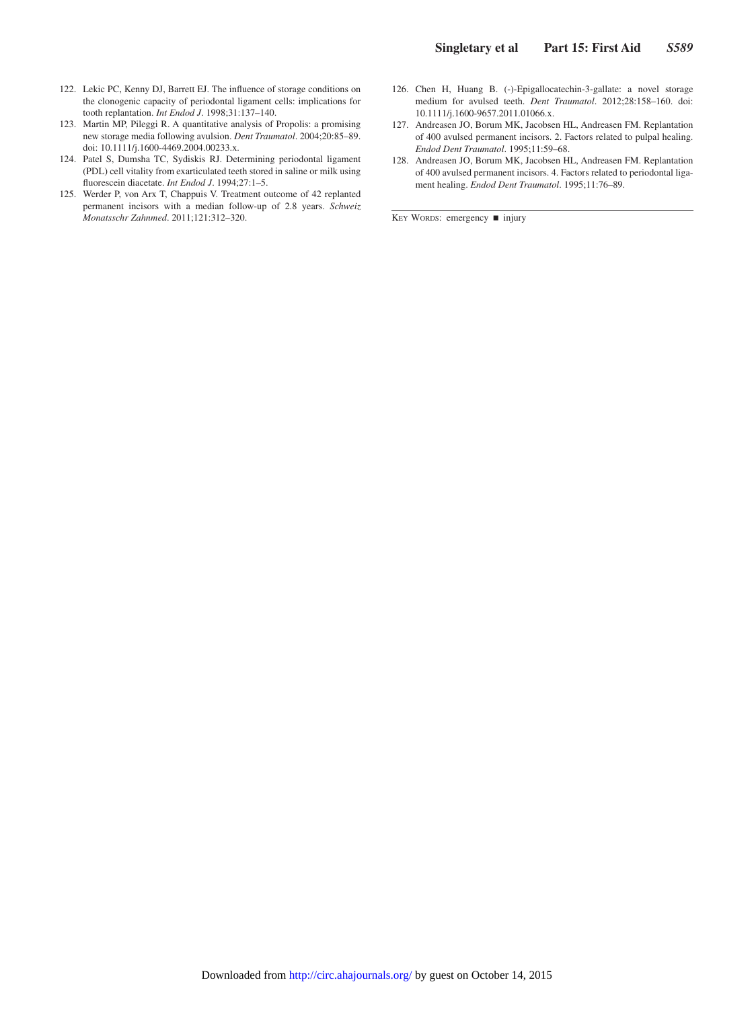- 122. Lekic PC, Kenny DJ, Barrett EJ. The influence of storage conditions on the clonogenic capacity of periodontal ligament cells: implications for tooth replantation. *Int Endod J*. 1998;31:137–140.
- 123. Martin MP, Pileggi R. A quantitative analysis of Propolis: a promising new storage media following avulsion. *Dent Traumatol*. 2004;20:85–89. doi: 10.1111/j.1600-4469.2004.00233.x.
- 124. Patel S, Dumsha TC, Sydiskis RJ. Determining periodontal ligament (PDL) cell vitality from exarticulated teeth stored in saline or milk using fluorescein diacetate. *Int Endod J*. 1994;27:1–5.
- 125. Werder P, von Arx T, Chappuis V. Treatment outcome of 42 replanted permanent incisors with a median follow-up of 2.8 years. *Schweiz Monatsschr Zahnmed*. 2011;121:312–320.
- 126. Chen H, Huang B. (-)-Epigallocatechin-3-gallate: a novel storage medium for avulsed teeth. *Dent Traumatol*. 2012;28:158–160. doi: 10.1111/j.1600-9657.2011.01066.x.
- 127. Andreasen JO, Borum MK, Jacobsen HL, Andreasen FM. Replantation of 400 avulsed permanent incisors. 2. Factors related to pulpal healing. *Endod Dent Traumatol*. 1995;11:59–68.
- 128. Andreasen JO, Borum MK, Jacobsen HL, Andreasen FM. Replantation of 400 avulsed permanent incisors. 4. Factors related to periodontal ligament healing. *Endod Dent Traumatol*. 1995;11:76–89.

KEY WORDS: emergency ■ injury